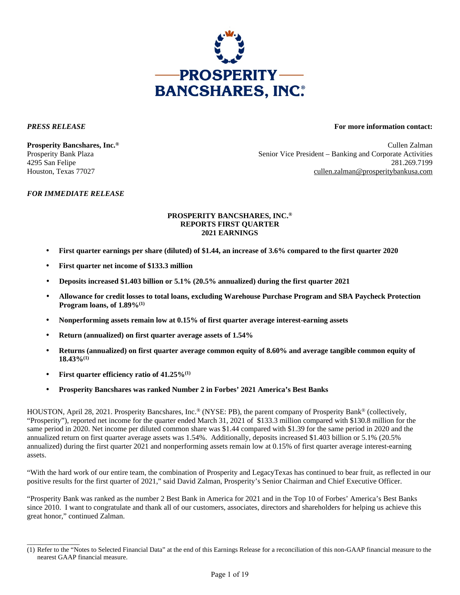

\_\_\_\_\_\_\_\_\_\_\_\_\_\_

## *PRESS RELEASE* **For more information contact:**

**Prosperity Bancshares, Inc.®** Cullen Zalman Prosperity Bank Plaza Senior Vice President – Banking and Corporate Activities 4295 San Felipe 281.269.7199 Houston, Texas 77027 cullen.zalman@prosperitybankusa.com

## *FOR IMMEDIATE RELEASE*

## **PROSPERITY BANCSHARES, INC.® REPORTS FIRST QUARTER 2021 EARNINGS**

- **First quarter earnings per share (diluted) of \$1.44, an increase of 3.6% compared to the first quarter 2020**
- **First quarter net income of \$133.3 million**
- **Deposits increased \$1.403 billion or 5.1% (20.5% annualized) during the first quarter 2021**
- **Allowance for credit losses to total loans, excluding Warehouse Purchase Program and SBA Paycheck Protection Program loans, of 1.89%(1)**
- **Nonperforming assets remain low at 0.15% of first quarter average interest-earning assets**
- **Return (annualized) on first quarter average assets of 1.54%**
- **Returns (annualized) on first quarter average common equity of 8.60% and average tangible common equity of 18.43%(1)**
- **First quarter efficiency ratio of 41.25%(1)**
- **Prosperity Bancshares was ranked Number 2 in Forbes' 2021 America's Best Banks**

HOUSTON, April 28, 2021. Prosperity Bancshares, Inc.® (NYSE: PB), the parent company of Prosperity Bank® (collectively, "Prosperity"), reported net income for the quarter ended March 31, 2021 of \$133.3 million compared with \$130.8 million for the same period in 2020. Net income per diluted common share was \$1.44 compared with \$1.39 for the same period in 2020 and the annualized return on first quarter average assets was 1.54%. Additionally, deposits increased \$1.403 billion or 5.1% (20.5% annualized) during the first quarter 2021 and nonperforming assets remain low at 0.15% of first quarter average interest-earning assets.

"With the hard work of our entire team, the combination of Prosperity and LegacyTexas has continued to bear fruit, as reflected in our positive results for the first quarter of 2021," said David Zalman, Prosperity's Senior Chairman and Chief Executive Officer.

"Prosperity Bank was ranked as the number 2 Best Bank in America for 2021 and in the Top 10 of Forbes' America's Best Banks since 2010. I want to congratulate and thank all of our customers, associates, directors and shareholders for helping us achieve this great honor," continued Zalman.

<sup>(1)</sup> Refer to the "Notes to Selected Financial Data" at the end of this Earnings Release for a reconciliation of this non-GAAP financial measure to the nearest GAAP financial measure.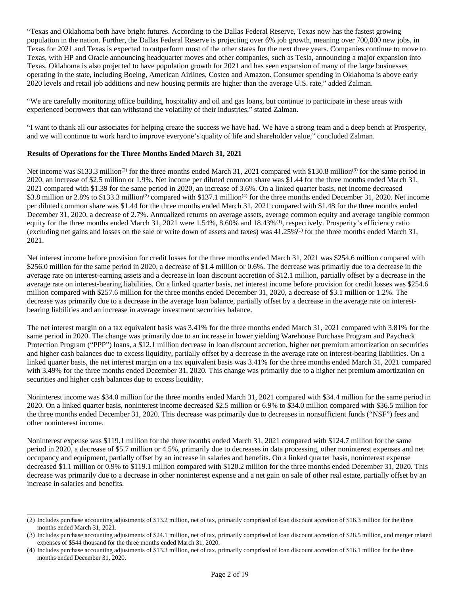"Texas and Oklahoma both have bright futures. According to the Dallas Federal Reserve, Texas now has the fastest growing population in the nation. Further, the Dallas Federal Reserve is projecting over 6% job growth, meaning over 700,000 new jobs, in Texas for 2021 and Texas is expected to outperform most of the other states for the next three years. Companies continue to move to Texas, with HP and Oracle announcing headquarter moves and other companies, such as Tesla, announcing a major expansion into Texas. Oklahoma is also projected to have population growth for 2021 and has seen expansion of many of the large businesses operating in the state, including Boeing, American Airlines, Costco and Amazon. Consumer spending in Oklahoma is above early 2020 levels and retail job additions and new housing permits are higher than the average U.S. rate," added Zalman.

"We are carefully monitoring office building, hospitality and oil and gas loans, but continue to participate in these areas with experienced borrowers that can withstand the volatility of their industries," stated Zalman.

"I want to thank all our associates for helping create the success we have had. We have a strong team and a deep bench at Prosperity, and we will continue to work hard to improve everyone's quality of life and shareholder value," concluded Zalman.

## **Results of Operations for the Three Months Ended March 31, 2021**

\_\_\_\_\_\_\_\_\_\_\_\_\_\_

Net income was \$133.3 million<sup>(2)</sup> for the three months ended March 31, 2021 compared with \$130.8 million<sup>(3)</sup> for the same period in 2020, an increase of \$2.5 million or 1.9%. Net income per diluted common share was \$1.44 for the three months ended March 31, 2021 compared with \$1.39 for the same period in 2020, an increase of 3.6%. On a linked quarter basis, net income decreased \$3.8 million or 2.8% to \$133.3 million<sup>(2)</sup> compared with \$137.1 million<sup>(4)</sup> for the three months ended December 31, 2020. Net income per diluted common share was \$1.44 for the three months ended March 31, 2021 compared with \$1.48 for the three months ended December 31, 2020, a decrease of 2.7%. Annualized returns on average assets, average common equity and average tangible common equity for the three months ended March 31, 2021 were 1.54%, 8.60% and 18.43%<sup>(1)</sup>, respectively. Prosperity's efficiency ratio (excluding net gains and losses on the sale or write down of assets and taxes) was  $41.25\%$ <sup>(1)</sup> for the three months ended March 31, 2021.

Net interest income before provision for credit losses for the three months ended March 31, 2021 was \$254.6 million compared with \$256.0 million for the same period in 2020, a decrease of \$1.4 million or 0.6%. The decrease was primarily due to a decrease in the average rate on interest-earning assets and a decrease in loan discount accretion of \$12.1 million, partially offset by a decrease in the average rate on interest-bearing liabilities. On a linked quarter basis, net interest income before provision for credit losses was \$254.6 million compared with \$257.6 million for the three months ended December 31, 2020, a decrease of \$3.1 million or 1.2%. The decrease was primarily due to a decrease in the average loan balance, partially offset by a decrease in the average rate on interestbearing liabilities and an increase in average investment securities balance.

The net interest margin on a tax equivalent basis was 3.41% for the three months ended March 31, 2021 compared with 3.81% for the same period in 2020. The change was primarily due to an increase in lower yielding Warehouse Purchase Program and Paycheck Protection Program ("PPP") loans, a \$12.1 million decrease in loan discount accretion, higher net premium amortization on securities and higher cash balances due to excess liquidity, partially offset by a decrease in the average rate on interest-bearing liabilities. On a linked quarter basis, the net interest margin on a tax equivalent basis was 3.41% for the three months ended March 31, 2021 compared with 3.49% for the three months ended December 31, 2020. This change was primarily due to a higher net premium amortization on securities and higher cash balances due to excess liquidity.

Noninterest income was \$34.0 million for the three months ended March 31, 2021 compared with \$34.4 million for the same period in 2020. On a linked quarter basis, noninterest income decreased \$2.5 million or 6.9% to \$34.0 million compared with \$36.5 million for the three months ended December 31, 2020. This decrease was primarily due to decreases in nonsufficient funds ("NSF") fees and other noninterest income.

Noninterest expense was \$119.1 million for the three months ended March 31, 2021 compared with \$124.7 million for the same period in 2020, a decrease of \$5.7 million or 4.5%, primarily due to decreases in data processing, other noninterest expenses and net occupancy and equipment, partially offset by an increase in salaries and benefits. On a linked quarter basis, noninterest expense decreased \$1.1 million or 0.9% to \$119.1 million compared with \$120.2 million for the three months ended December 31, 2020. This decrease was primarily due to a decrease in other noninterest expense and a net gain on sale of other real estate, partially offset by an increase in salaries and benefits.

<sup>(2)</sup> Includes purchase accounting adjustments of \$13.2 million, net of tax, primarily comprised of loan discount accretion of \$16.3 million for the three months ended March 31, 2021.

<sup>(3)</sup> Includes purchase accounting adjustments of \$24.1 million, net of tax, primarily comprised of loan discount accretion of \$28.5 million, and merger related expenses of \$544 thousand for the three months ended March 31, 2020.

<sup>(4)</sup> Includes purchase accounting adjustments of \$13.3 million, net of tax, primarily comprised of loan discount accretion of \$16.1 million for the three months ended December 31, 2020.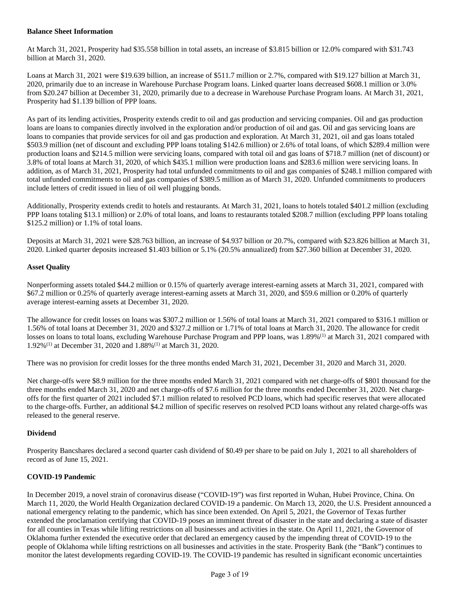## **Balance Sheet Information**

At March 31, 2021, Prosperity had \$35.558 billion in total assets, an increase of \$3.815 billion or 12.0% compared with \$31.743 billion at March 31, 2020.

Loans at March 31, 2021 were \$19.639 billion, an increase of \$511.7 million or 2.7%, compared with \$19.127 billion at March 31, 2020, primarily due to an increase in Warehouse Purchase Program loans. Linked quarter loans decreased \$608.1 million or 3.0% from \$20.247 billion at December 31, 2020, primarily due to a decrease in Warehouse Purchase Program loans. At March 31, 2021, Prosperity had \$1.139 billion of PPP loans.

As part of its lending activities, Prosperity extends credit to oil and gas production and servicing companies. Oil and gas production loans are loans to companies directly involved in the exploration and/or production of oil and gas. Oil and gas servicing loans are loans to companies that provide services for oil and gas production and exploration. At March 31, 2021, oil and gas loans totaled \$503.9 million (net of discount and excluding PPP loans totaling \$142.6 million) or 2.6% of total loans, of which \$289.4 million were production loans and \$214.5 million were servicing loans, compared with total oil and gas loans of \$718.7 million (net of discount) or 3.8% of total loans at March 31, 2020, of which \$435.1 million were production loans and \$283.6 million were servicing loans. In addition, as of March 31, 2021, Prosperity had total unfunded commitments to oil and gas companies of \$248.1 million compared with total unfunded commitments to oil and gas companies of \$389.5 million as of March 31, 2020. Unfunded commitments to producers include letters of credit issued in lieu of oil well plugging bonds.

Additionally, Prosperity extends credit to hotels and restaurants. At March 31, 2021, loans to hotels totaled \$401.2 million (excluding PPP loans totaling \$13.1 million) or 2.0% of total loans, and loans to restaurants totaled \$208.7 million (excluding PPP loans totaling \$125.2 million) or 1.1% of total loans.

Deposits at March 31, 2021 were \$28.763 billion, an increase of \$4.937 billion or 20.7%, compared with \$23.826 billion at March 31, 2020. Linked quarter deposits increased \$1.403 billion or 5.1% (20.5% annualized) from \$27.360 billion at December 31, 2020.

## **Asset Quality**

Nonperforming assets totaled \$44.2 million or 0.15% of quarterly average interest-earning assets at March 31, 2021, compared with \$67.2 million or 0.25% of quarterly average interest-earning assets at March 31, 2020, and \$59.6 million or 0.20% of quarterly average interest-earning assets at December 31, 2020.

The allowance for credit losses on loans was \$307.2 million or 1.56% of total loans at March 31, 2021 compared to \$316.1 million or 1.56% of total loans at December 31, 2020 and \$327.2 million or 1.71% of total loans at March 31, 2020. The allowance for credit losses on loans to total loans, excluding Warehouse Purchase Program and PPP loans, was 1.89%<sup>(1)</sup> at March 31, 2021 compared with 1.92%(1) at December 31, 2020 and 1.88%(1) at March 31, 2020.

There was no provision for credit losses for the three months ended March 31, 2021, December 31, 2020 and March 31, 2020.

Net charge-offs were \$8.9 million for the three months ended March 31, 2021 compared with net charge-offs of \$801 thousand for the three months ended March 31, 2020 and net charge-offs of \$7.6 million for the three months ended December 31, 2020. Net chargeoffs for the first quarter of 2021 included \$7.1 million related to resolved PCD loans, which had specific reserves that were allocated to the charge-offs. Further, an additional \$4.2 million of specific reserves on resolved PCD loans without any related charge-offs was released to the general reserve.

## **Dividend**

Prosperity Bancshares declared a second quarter cash dividend of \$0.49 per share to be paid on July 1, 2021 to all shareholders of record as of June 15, 2021.

## **COVID-19 Pandemic**

In December 2019, a novel strain of coronavirus disease ("COVID-19") was first reported in Wuhan, Hubei Province, China. On March 11, 2020, the World Health Organization declared COVID-19 a pandemic. On March 13, 2020, the U.S. President announced a national emergency relating to the pandemic, which has since been extended. On April 5, 2021, the Governor of Texas further extended the proclamation certifying that COVID-19 poses an imminent threat of disaster in the state and declaring a state of disaster for all counties in Texas while lifting restrictions on all businesses and activities in the state. On April 11, 2021, the Governor of Oklahoma further extended the executive order that declared an emergency caused by the impending threat of COVID-19 to the people of Oklahoma while lifting restrictions on all businesses and activities in the state. Prosperity Bank (the "Bank") continues to monitor the latest developments regarding COVID-19. The COVID-19 pandemic has resulted in significant economic uncertainties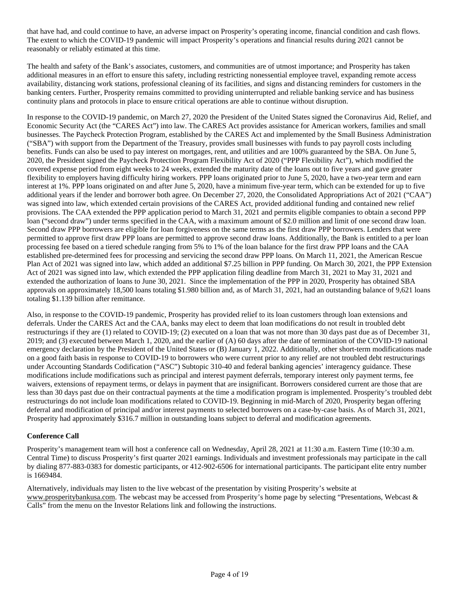that have had, and could continue to have, an adverse impact on Prosperity's operating income, financial condition and cash flows. The extent to which the COVID-19 pandemic will impact Prosperity's operations and financial results during 2021 cannot be reasonably or reliably estimated at this time.

The health and safety of the Bank's associates, customers, and communities are of utmost importance; and Prosperity has taken additional measures in an effort to ensure this safety, including restricting nonessential employee travel, expanding remote access availability, distancing work stations, professional cleaning of its facilities, and signs and distancing reminders for customers in the banking centers. Further, Prosperity remains committed to providing uninterrupted and reliable banking service and has business continuity plans and protocols in place to ensure critical operations are able to continue without disruption.

In response to the COVID-19 pandemic, on March 27, 2020 the President of the United States signed the Coronavirus Aid, Relief, and Economic Security Act (the "CARES Act") into law. The CARES Act provides assistance for American workers, families and small businesses. The Paycheck Protection Program, established by the CARES Act and implemented by the Small Business Administration ("SBA") with support from the Department of the Treasury, provides small businesses with funds to pay payroll costs including benefits. Funds can also be used to pay interest on mortgages, rent, and utilities and are 100% guaranteed by the SBA. On June 5, 2020, the President signed the Paycheck Protection Program Flexibility Act of 2020 ("PPP Flexibility Act"), which modified the covered expense period from eight weeks to 24 weeks, extended the maturity date of the loans out to five years and gave greater flexibility to employers having difficulty hiring workers. PPP loans originated prior to June 5, 2020, have a two-year term and earn interest at 1%. PPP loans originated on and after June 5, 2020, have a minimum five-year term, which can be extended for up to five additional years if the lender and borrower both agree. On December 27, 2020, the Consolidated Appropriations Act of 2021 ("CAA") was signed into law, which extended certain provisions of the CARES Act, provided additional funding and contained new relief provisions. The CAA extended the PPP application period to March 31, 2021 and permits eligible companies to obtain a second PPP loan ("second draw") under terms specified in the CAA, with a maximum amount of \$2.0 million and limit of one second draw loan. Second draw PPP borrowers are eligible for loan forgiveness on the same terms as the first draw PPP borrowers. Lenders that were permitted to approve first draw PPP loans are permitted to approve second draw loans. Additionally, the Bank is entitled to a per loan processing fee based on a tiered schedule ranging from 5% to 1% of the loan balance for the first draw PPP loans and the CAA established pre-determined fees for processing and servicing the second draw PPP loans*.* On March 11, 2021, the American Rescue Plan Act of 2021 was signed into law, which added an additional \$7.25 billion in PPP funding. On March 30, 2021, the PPP Extension Act of 2021 was signed into law, which extended the PPP application filing deadline from March 31, 2021 to May 31, 2021 and extended the authorization of loans to June 30, 2021. Since the implementation of the PPP in 2020, Prosperity has obtained SBA approvals on approximately 18,500 loans totaling \$1.980 billion and, as of March 31, 2021, had an outstanding balance of 9,621 loans totaling \$1.139 billion after remittance.

Also, in response to the COVID-19 pandemic, Prosperity has provided relief to its loan customers through loan extensions and deferrals. Under the CARES Act and the CAA, banks may elect to deem that loan modifications do not result in troubled debt restructurings if they are (1) related to COVID-19; (2) executed on a loan that was not more than 30 days past due as of December 31, 2019; and (3) executed between March 1, 2020, and the earlier of (A) 60 days after the date of termination of the COVID-19 national emergency declaration by the President of the United States or (B) January 1, 2022. Additionally, other short-term modifications made on a good faith basis in response to COVID-19 to borrowers who were current prior to any relief are not troubled debt restructurings under Accounting Standards Codification ("ASC") Subtopic 310-40 and federal banking agencies' interagency guidance. These modifications include modifications such as principal and interest payment deferrals, temporary interest only payment terms, fee waivers, extensions of repayment terms, or delays in payment that are insignificant. Borrowers considered current are those that are less than 30 days past due on their contractual payments at the time a modification program is implemented. Prosperity's troubled debt restructurings do not include loan modifications related to COVID-19. Beginning in mid-March of 2020, Prosperity began offering deferral and modification of principal and/or interest payments to selected borrowers on a case-by-case basis. As of March 31, 2021, Prosperity had approximately \$316.7 million in outstanding loans subject to deferral and modification agreements.

## **Conference Call**

Prosperity's management team will host a conference call on Wednesday, April 28, 2021 at 11:30 a.m. Eastern Time (10:30 a.m. Central Time) to discuss Prosperity's first quarter 2021 earnings. Individuals and investment professionals may participate in the call by dialing 877-883-0383 for domestic participants, or 412-902-6506 for international participants. The participant elite entry number is 1669484.

Alternatively, individuals may listen to the live webcast of the presentation by visiting Prosperity's website at www.prosperitybankusa.com. The webcast may be accessed from Prosperity's home page by selecting "Presentations, Webcast & Calls" from the menu on the Investor Relations link and following the instructions.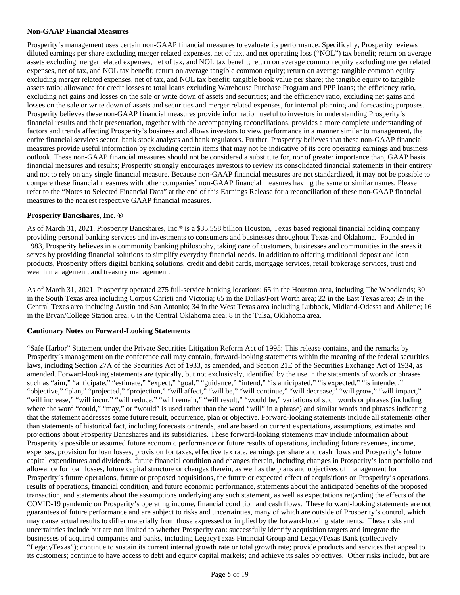## **Non-GAAP Financial Measures**

Prosperity's management uses certain non-GAAP financial measures to evaluate its performance. Specifically, Prosperity reviews diluted earnings per share excluding merger related expenses, net of tax, and net operating loss ("NOL") tax benefit; return on average assets excluding merger related expenses, net of tax, and NOL tax benefit; return on average common equity excluding merger related expenses, net of tax, and NOL tax benefit; return on average tangible common equity; return on average tangible common equity excluding merger related expenses, net of tax, and NOL tax benefit; tangible book value per share; the tangible equity to tangible assets ratio; allowance for credit losses to total loans excluding Warehouse Purchase Program and PPP loans; the efficiency ratio, excluding net gains and losses on the sale or write down of assets and securities; and the efficiency ratio, excluding net gains and losses on the sale or write down of assets and securities and merger related expenses, for internal planning and forecasting purposes. Prosperity believes these non-GAAP financial measures provide information useful to investors in understanding Prosperity's financial results and their presentation, together with the accompanying reconciliations, provides a more complete understanding of factors and trends affecting Prosperity's business and allows investors to view performance in a manner similar to management, the entire financial services sector, bank stock analysts and bank regulators. Further, Prosperity believes that these non-GAAP financial measures provide useful information by excluding certain items that may not be indicative of its core operating earnings and business outlook. These non-GAAP financial measures should not be considered a substitute for, nor of greater importance than, GAAP basis financial measures and results; Prosperity strongly encourages investors to review its consolidated financial statements in their entirety and not to rely on any single financial measure. Because non-GAAP financial measures are not standardized, it may not be possible to compare these financial measures with other companies' non-GAAP financial measures having the same or similar names. Please refer to the "Notes to Selected Financial Data" at the end of this Earnings Release for a reconciliation of these non-GAAP financial measures to the nearest respective GAAP financial measures.

## **Prosperity Bancshares, Inc. ®**

As of March 31, 2021, Prosperity Bancshares, Inc.® is a \$35.558 billion Houston, Texas based regional financial holding company providing personal banking services and investments to consumers and businesses throughout Texas and Oklahoma. Founded in 1983, Prosperity believes in a community banking philosophy, taking care of customers, businesses and communities in the areas it serves by providing financial solutions to simplify everyday financial needs. In addition to offering traditional deposit and loan products, Prosperity offers digital banking solutions, credit and debit cards, mortgage services, retail brokerage services, trust and wealth management, and treasury management.

As of March 31, 2021, Prosperity operated 275 full-service banking locations: 65 in the Houston area, including The Woodlands; 30 in the South Texas area including Corpus Christi and Victoria; 65 in the Dallas/Fort Worth area; 22 in the East Texas area; 29 in the Central Texas area including Austin and San Antonio; 34 in the West Texas area including Lubbock, Midland-Odessa and Abilene; 16 in the Bryan/College Station area; 6 in the Central Oklahoma area; 8 in the Tulsa, Oklahoma area.

## **Cautionary Notes on Forward-Looking Statements**

"Safe Harbor" Statement under the Private Securities Litigation Reform Act of 1995: This release contains, and the remarks by Prosperity's management on the conference call may contain, forward-looking statements within the meaning of the federal securities laws, including Section 27A of the Securities Act of 1933, as amended, and Section 21E of the Securities Exchange Act of 1934, as amended. Forward-looking statements are typically, but not exclusively, identified by the use in the statements of words or phrases such as "aim," "anticipate," "estimate," "expect," "goal," "guidance," "intend," "is anticipated," "is expected," "is intended," "objective," "plan," "projected," "projection," "will affect," "will be," "will continue," "will decrease," "will grow," "will impact," "will increase," "will incur," "will reduce," "will remain," "will result," "would be," variations of such words or phrases (including where the word "could," "may," or "would" is used rather than the word "will" in a phrase) and similar words and phrases indicating that the statement addresses some future result, occurrence, plan or objective. Forward-looking statements include all statements other than statements of historical fact, including forecasts or trends, and are based on current expectations, assumptions, estimates and projections about Prosperity Bancshares and its subsidiaries. These forward-looking statements may include information about Prosperity's possible or assumed future economic performance or future results of operations, including future revenues, income, expenses, provision for loan losses, provision for taxes, effective tax rate, earnings per share and cash flows and Prosperity's future capital expenditures and dividends, future financial condition and changes therein, including changes in Prosperity's loan portfolio and allowance for loan losses, future capital structure or changes therein, as well as the plans and objectives of management for Prosperity's future operations, future or proposed acquisitions, the future or expected effect of acquisitions on Prosperity's operations, results of operations, financial condition, and future economic performance, statements about the anticipated benefits of the proposed transaction, and statements about the assumptions underlying any such statement, as well as expectations regarding the effects of the COVID-19 pandemic on Prosperity's operating income, financial condition and cash flows. These forward-looking statements are not guarantees of future performance and are subject to risks and uncertainties, many of which are outside of Prosperity's control, which may cause actual results to differ materially from those expressed or implied by the forward-looking statements. These risks and uncertainties include but are not limited to whether Prosperity can: successfully identify acquisition targets and integrate the businesses of acquired companies and banks, including LegacyTexas Financial Group and LegacyTexas Bank (collectively "LegacyTexas"); continue to sustain its current internal growth rate or total growth rate; provide products and services that appeal to its customers; continue to have access to debt and equity capital markets; and achieve its sales objectives. Other risks include, but are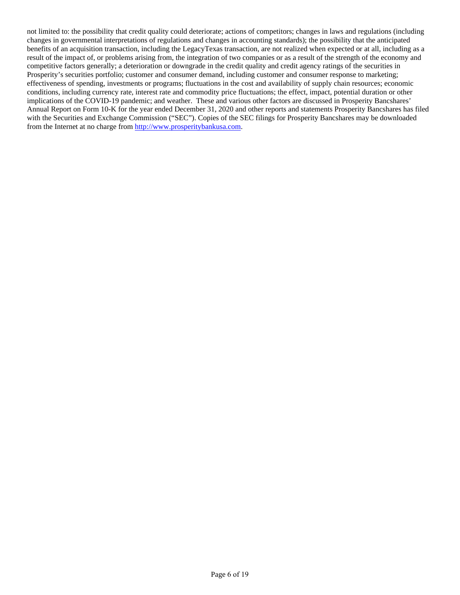not limited to: the possibility that credit quality could deteriorate; actions of competitors; changes in laws and regulations (including changes in governmental interpretations of regulations and changes in accounting standards); the possibility that the anticipated benefits of an acquisition transaction, including the LegacyTexas transaction, are not realized when expected or at all, including as a result of the impact of, or problems arising from, the integration of two companies or as a result of the strength of the economy and competitive factors generally; a deterioration or downgrade in the credit quality and credit agency ratings of the securities in Prosperity's securities portfolio; customer and consumer demand, including customer and consumer response to marketing; effectiveness of spending, investments or programs; fluctuations in the cost and availability of supply chain resources; economic conditions, including currency rate, interest rate and commodity price fluctuations; the effect, impact, potential duration or other implications of the COVID-19 pandemic; and weather. These and various other factors are discussed in Prosperity Bancshares' Annual Report on Form 10-K for the year ended December 31, 2020 and other reports and statements Prosperity Bancshares has filed with the Securities and Exchange Commission ("SEC"). Copies of the SEC filings for Prosperity Bancshares may be downloaded from the Internet at no charge from [http://www.prosperitybankusa.com.](http://www.prosperitybankusa.com/)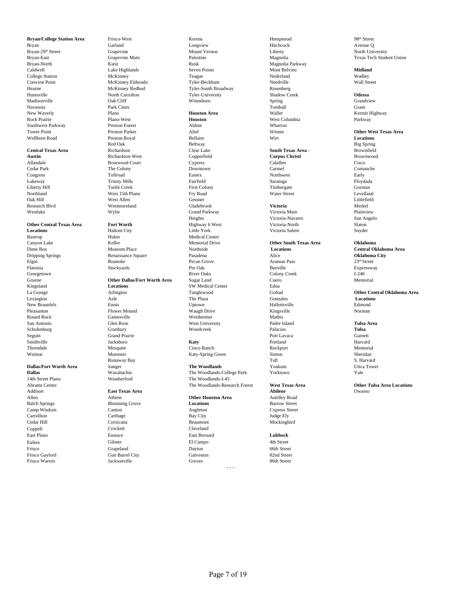Navasota Park Cities Tomball Grant New Waverly **Example 28 The Plano Houston Area Houston Area** Waller Waller **House Area** Waller Kermit Highway Rock Prairie **Rock Plano-West** Plano-West **Houston Houston** West Columbia Parkway Southwest Parkway **Preston Forest** Perston Forest Aldine Wharton Whatron Cover Point Wharton Perston Parker Alief Aldine Winnie

Smithville Jacksboro **Katy** Portland Harvard Thorndale Same Mesquite Rockport Cinco Ranch Rockport Rockport Memorial

# **Dallas/Fort Worth Area** Sanger **Dallas** Waxahachie

Addison **East Texas Area Abilene** Owasso Allen Athens **Other Houston Area** Antilley Road Camp Wisdom Canton Canton Canton Angleton Angleton Cypress Street<br>Carrollton Carthage By City Bay City Street Carrollton Carthage Carrollton Carrollton Carrollton Carrollton Carrollton Carrollton Carrollton Carrollton Carrollton Carrollton Carrollton Carrollton Carrollton Carrollton Carrollton Carrollton Carrollton Carrollton Carr Cedar Hill Corsicana Beaumont Mockingbird Coppell Crockett Cleveland East Plano Eustace East Bernard **Lubbock** Euless Gilmer El Campo 4th Street Frisco Grapeland Dayton 66th Street Frisco Gaylord Gun Barrel City Galveston Barrel Schutz Gaylord 82nd Street<br>Frisco Warren Backsonville Groves Groves 86th Street Frisco Warren Jacksonville Groves 86th Street

Wellborn Road Preston Royal Bellaire Wirt **Locations Central Texas Area 1988 - Richardson Clear Lake 1988 - South Texas Area - Brownfield Austin 1988 - Brownwood Proven<br>Martin 2008 - Austin 2009 - Richardson-West 1998 - Copperfield 1999 - Copperfield 2007 - Coppus Christi 2** Oak Hill West Allen Gessner Littlefield Research Blvd Westmoreland Gladebrook **Victoria** Merkel

Bastrop Medical Center Medical Center Canyon Lake Medical Center Medical Center Medical Center Memorial Drive **Dripping Springs City** Renaissance Square Pasadena Pasadena Alice Alice Alice **Oklahoma City**<br>
Recan Grove Aransas Pass 23<sup>rd</sup> Street Elgin **Elgin** Roanoke Roanoke Pecan Grove Aransas Pass 23<sup>rd</sup> Street Flatonia Stockyards Pin Oak Beeville Expressway

Runaway Bay Taft S. Harvard

**Blooming Grove** 

**Bryan/College Station Area** Frisco-West **Frisco-West** Kerens Hempstead Hempstead 98<sup>th</sup> Street 98<sup>th</sup> Street Bryan Hitchcock **Frisco-West** Carland Longview Hitchcock Avenue Q Bryan Garland Garland Longview Hitchcock Hitchcock Avenue Q Bryan-29<sup>th</sup> Street **Street** Grapevine Grapevine Mount Vernon Liberty **Liberty** Mount Vernon Liberty Bryan-East Grapevine Main Palestine Magnolia Texas Tech Student Union Bryan-North Magnolia Parkway<br>Caldwell 1988 (Caldwell 1988) (Caldwell 1988) (Caldwell 1988) (Caldwell 1988) (Caldwell 1988) (Caldwell 1988)<br>Caldwell 1989 (Caldwell 1988) (Caldwell 1988) (Caldwell 1988) (Caldwell 1988) (Cald Caldwell Lake Highlands Seven Points Mont Belvieu **Midland** College Station **McKinney** McKinney **Teague** Teague Nederland Nederland Wadley Crescent Point McKinney Eldorado Tyler-Beckham Needville Needville Wall Street<br>
Hearne McKinney Redbud Tyler-South Broadway Rosenberg<br>
McKinney Redbud Tyler-South Broadway Rosenberg Hearne McKinney Redbud Tyler-South Broadway Rosenberg<br>
Huntsville North Carrolton Tvler-University Shadow Creek<br>
Shadow Creek Huntsville North Carrolton Tyler-University Shadow Creek **Odessa** Madisonville Oak Cliff Winnsboro Spring Grandview

Red Oak Big Spring Beltway Big Spring and Big Spring and Big Spring and Big Spring and Big Spring and Big Spring Westlake Wylie Grand Parkway Victoria Main Plainview Heights Victoria-Navarro San Angelo **Other Central Texas Area <b>Fort Worth Fort Worth** Highway 6 West Victoria-North Slaton Slaton Shaton City **Fort Worth** Slaton City **Example 2** United York Victoria Salem Shyder **Locations Example 3** Haltom City **Little York Little York** Victoria Salem Snyder Georgetown River Oaks Colony Creek I-240 Gruene **Other Dallas/Fort Worth Area** Sugar Land Cuero Cuero Memorial Memorial Cuero Memorial Cuero Memorial Cuero Memorial Cuero Memorial Cuero Memorial SW Medical Center Edna **Memorial** SW Medical Center Edna **Memorial Locations** SW Medical Center Edna <br>Arlington Coliad Center Coliad Center Coliad Coliad Lexington **Contract Constant Azle** Constant The Plaza **Constant Constant Constant Constant Constant Constant Constant Constant Constant Constant Constant Constant Constant Constant Constant Constant Constant Constant Const** New Braunfels Ennis Uptown Hallettsville Edmond Pleasanton Flower Mound Waugh Drive Kingsville Kingsville Norman Round Rock Gainesville **Gainesville** Westheimer Westheimer Mathis San Antonio Glen Rose West University Padre Island **Tulsa Area** Schulenburg Granbury Woodcreek Palacios **Tulsa** Seguin Grand Prairie Port Lavaca Garnett

Weimar Muenster Muenster Katy-Spring Green Sinton Sheridan Sheridan

**Dallas** Waxahachie The Woodlands-College Park Yorktown Yale 14th Street Plano Weatherford The Woodlands-I-45

**Austin** Richardson-West Copperfield **Corpus Christi** Brownwood Allandale Rosewood Court Cypress Calallen Cisco Cedar Park The Colony Downtown Carmel Comanche Congress Tollroad Eastex Northwest Early Lakeway Trinity Mills Fairfield Saratoga Floydada Liberty Hill Turtle Creek First Colony Timbergate Gorman Northland West 15th Plano Fry Road Water Street Levelland

## Canyon Lake **The Canyon Lake Canyon Lake Canyon Lake Canyon Lake Canyon Lake Canyon Lake Canyon Lake Canyon Lake Canyon Lake Canyon Lake Canyon Lake Canyon Lake Canyon Lake Canyon Lake Canyon Lake Canyon Lake Canyon Lake C**

## Tower Point **Prestice Prestial Prestial Prestial Prestial Prestial Prestial Prestial Prestial Prestial Prestial Prestial Prestial Prestial Prestial Prestial Prestial Prestial Prestial Prestial Prestial Prestial Prestial Pr**

Dime Box Museum Place Northside **Locations Central Oklahoma Area**

## La Grange Arlington Tanglewood Goliad **Other Central Oklahoma Area**

Abrams Centre **Other Tulsa Area Locations**<br>Addison **Centre Centre East Texas Area Constants Abraham Abraham Abraham Abraham Abraham Abraham Abraham Owasso** 

- - -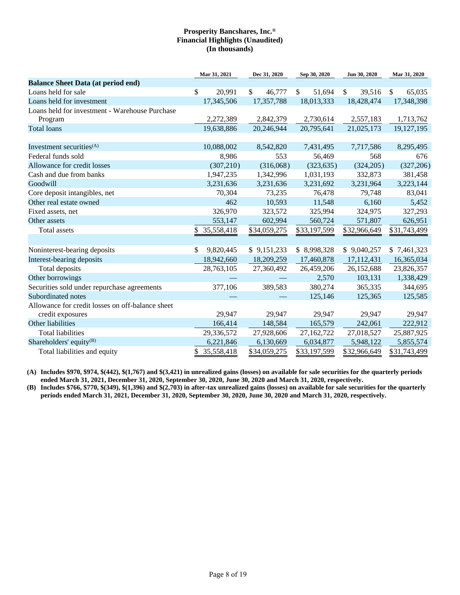|                                                  | Mar 31, 2021           | Dec 31, 2020 | Sep 30, 2020 | Jun 30, 2020           | Mar 31, 2020           |
|--------------------------------------------------|------------------------|--------------|--------------|------------------------|------------------------|
| <b>Balance Sheet Data (at period end)</b>        |                        |              |              |                        |                        |
| Loans held for sale                              | $\mathbb{S}$<br>20,991 | \$<br>46,777 | \$<br>51,694 | $\mathbb{S}$<br>39,516 | $\mathbb{S}$<br>65,035 |
| Loans held for investment                        | 17,345,506             | 17,357,788   | 18,013,333   | 18,428,474             | 17,348,398             |
| Loans held for investment - Warehouse Purchase   |                        |              |              |                        |                        |
| Program                                          | 2,272,389              | 2,842,379    | 2,730,614    | 2,557,183              | 1,713,762              |
| <b>Total loans</b>                               | 19,638,886             | 20,246,944   | 20,795,641   | 21,025,173             | 19,127,195             |
|                                                  |                        |              |              |                        |                        |
| Investment securities <sup>(A)</sup>             | 10,088,002             | 8,542,820    | 7,431,495    | 7,717,586              | 8,295,495              |
| Federal funds sold                               | 8,986                  | 553          | 56,469       | 568                    | 676                    |
| Allowance for credit losses                      | (307, 210)             | (316,068)    | (323, 635)   | (324, 205)             | (327, 206)             |
| Cash and due from banks                          | 1,947,235              | 1,342,996    | 1,031,193    | 332,873                | 381,458                |
| Goodwill                                         | 3,231,636              | 3,231,636    | 3,231,692    | 3,231,964              | 3,223,144              |
| Core deposit intangibles, net                    | 70,304                 | 73,235       | 76,478       | 79,748                 | 83,041                 |
| Other real estate owned                          | 462                    | 10,593       | 11,548       | 6,160                  | 5,452                  |
| Fixed assets, net                                | 326,970                | 323,572      | 325,994      | 324,975                | 327,293                |
| Other assets                                     | 553,147                | 602,994      | 560,724      | 571,807                | 626,951                |
| Total assets                                     | 35,558,418<br>\$       | \$34,059,275 | \$33,197,599 | \$32,966,649           | \$31,743,499           |
|                                                  |                        |              |              |                        |                        |
| Noninterest-bearing deposits                     | 9,820,445<br>\$        | \$9,151,233  | \$8,998,328  | \$9,040,257            | \$7,461,323            |
| Interest-bearing deposits                        | 18,942,660             | 18,209,259   | 17,460,878   | 17,112,431             | 16,365,034             |
| Total deposits                                   | 28,763,105             | 27,360,492   | 26,459,206   | 26,152,688             | 23,826,357             |
| Other borrowings                                 |                        |              | 2,570        | 103,131                | 1,338,429              |
| Securities sold under repurchase agreements      | 377,106                | 389,583      | 380,274      | 365,335                | 344,695                |
| Subordinated notes                               |                        |              | 125,146      | 125,365                | 125,585                |
| Allowance for credit losses on off-balance sheet |                        |              |              |                        |                        |
| credit exposures                                 | 29,947                 | 29,947       | 29,947       | 29,947                 | 29,947                 |
| Other liabilities                                | 166,414                | 148,584      | 165,579      | 242,061                | 222,912                |
| <b>Total liabilities</b>                         | 29,336,572             | 27,928,606   | 27,162,722   | 27,018,527             | 25,887,925             |
| Shareholders' equity $^{(B)}$                    | 6,221,846              | 6,130,669    | 6,034,877    | 5,948,122              | 5,855,574              |
| Total liabilities and equity                     | \$ 35,558,418          | \$34,059,275 | \$33,197,599 | \$32,966,649           | \$31,743,499           |

**(A) Includes \$970, \$974, \$(442), \$(1,767) and \$(3,421) in unrealized gains (losses) on available for sale securities for the quarterly periods ended March 31, 2021, December 31, 2020, September 30, 2020, June 30, 2020 and March 31, 2020, respectively.**

**(B) Includes \$766, \$770, \$(349), \$(1,396) and \$(2,703) in after-tax unrealized gains (losses) on available for sale securities for the quarterly periods ended March 31, 2021, December 31, 2020, September 30, 2020, June 30, 2020 and March 31, 2020, respectively.**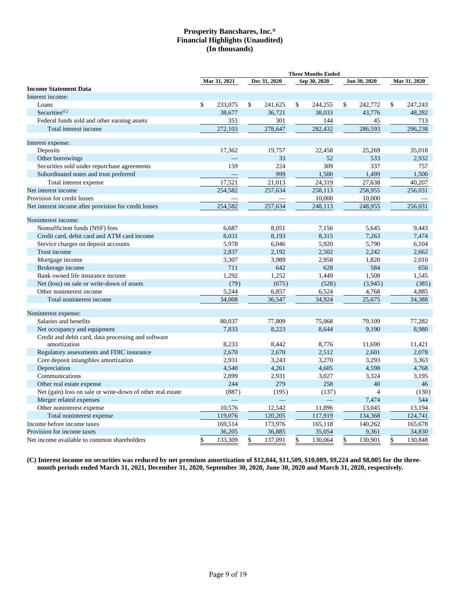|                                                            |               |               | <b>Three Months Ended</b> |                  |               |
|------------------------------------------------------------|---------------|---------------|---------------------------|------------------|---------------|
|                                                            | Mar 31, 2021  | Dec 31, 2020  | Sep 30, 2020              | Jun 30, 2020     | Mar 31, 2020  |
| <b>Income Statement Data</b>                               |               |               |                           |                  |               |
| Interest income:                                           |               |               |                           |                  |               |
| Loans                                                      | \$<br>233,075 | \$<br>241,625 | \$<br>244,255             | \$<br>242,772    | \$<br>247,243 |
| Securities <sup>(C)</sup>                                  | 38,677        | 36,721        | 38,033                    | 43,776           | 48,282        |
| Federal funds sold and other earning assets                | 351           | 301           | 144                       | 45               | 713           |
| Total interest income                                      | 272,103       | 278,647       | 282,432                   | 286,593          | 296,238       |
| Interest expense:                                          |               |               |                           |                  |               |
| Deposits                                                   | 17,362        | 19,757        | 22,458                    | 25,269           | 35.018        |
| Other borrowings                                           |               | 33            | 52                        | 533              | 2,932         |
| Securities sold under repurchase agreements                | 159           | 224           | 309                       | 337              | 757           |
| Subordinated notes and trust preferred                     |               | 999           | 1,500                     | 1.499            | 1,500         |
| Total interest expense                                     | 17,521        | 21,013        | 24,319                    | 27,638           | 40,207        |
| Net interest income                                        | 254,582       | 257,634       | 258,113                   | 258,955          | 256,031       |
| Provision for credit losses                                |               |               | 10,000                    | 10,000           |               |
| Net interest income after provision for credit losses      | 254,582       | 257,634       | 248,113                   | 248,955          | 256.031       |
| Noninterest income:                                        |               |               |                           |                  |               |
| Nonsufficient funds (NSF) fees                             | 6,687         | 8,051         | 7,156                     | 5,645            | 9,443         |
| Credit card, debit card and ATM card income                | 8,031         | 8,193         | 8,315                     | 7,263            | 7,474         |
| Service charges on deposit accounts                        | 5,978         | 6,046         | 5,920                     | 5,790            | 6,104         |
| Trust income                                               | 2,837         | 2,192         | 2,502                     | 2,242            | 2,662         |
| Mortgage income                                            | 3,307         | 3,989         | 2,958                     | 1,820            | 2,010         |
| Brokerage income                                           | 711           | 642           | 628                       | 584              | 650           |
| Bank owned life insurance income                           | 1,292         | 1,252         | 1,449                     | 1,508            | 1,545         |
| Net (loss) on sale or write-down of assets                 | (79)          | (675)         | (528)                     | (3,945)          | (385)         |
| Other noninterest income                                   | 5,244         | 6,857         | 6,524                     | 4,768            | 4,885         |
| Total noninterest income                                   | 34,008        | 36,547        | 34,924                    | 25,675           | 34,388        |
| Noninterest expense:                                       |               |               |                           |                  |               |
| Salaries and benefits                                      | 80,037        | 77,809        | 75,068                    | 79,109           | 77,282        |
| Net occupancy and equipment                                | 7.833         | 8,223         | 8,644                     | 9,190            | 8,980         |
| Credit and debit card, data processing and software        |               |               |                           |                  |               |
| amortization                                               | 8,233         | 8,442         | 8,776                     | 11.690           | 11,421        |
| Regulatory assessments and FDIC insurance                  | 2,670         | 2,670         | 2,512                     | 2,601            | 2,078         |
| Core deposit intangibles amortization                      | 2,931         | 3,243         | 3,270                     | 3,293            | 3,363         |
| Depreciation                                               | 4,540         | 4,261         | 4,605                     | 4,598            | 4,768         |
| Communications                                             | 2,899         | 2,931         | 3,027                     | 3,324            | 3,195         |
| Other real estate expense                                  | 244           | 279           | 258                       | 40               | 46            |
| Net (gain) loss on sale or write-down of other real estate | (887)         |               | (137)                     | $\overline{4}$   |               |
| Merger related expenses                                    |               | (195)         |                           | 7,474            | (130)<br>544  |
|                                                            | 10,576        | 12,542        |                           | 13,045           | 13,194        |
| Other noninterest expense                                  | 119,076       | 120,205       | 11,896<br>117,919         | 134,368          | 124,741       |
| Total noninterest expense                                  |               |               |                           |                  | 165,678       |
| Income before income taxes<br>Provision for income taxes   | 169,514       | 173,976       | 165,118                   | 140,262<br>9,361 |               |
|                                                            | 36,205        | 36,885        | 35,054                    |                  | 34,830        |
| Net income available to common shareholders                | \$<br>133,309 | \$<br>137,091 | \$<br>130,064             | \$<br>130,901    | \$<br>130,848 |

**(C) Interest income on securities was reduced by net premium amortization of \$12,844, \$11,509, \$10,089, \$9,224 and \$8,005 for the threemonth periods ended March 31, 2021, December 31, 2020, September 30, 2020, June 30, 2020 and March 31, 2020, respectively.**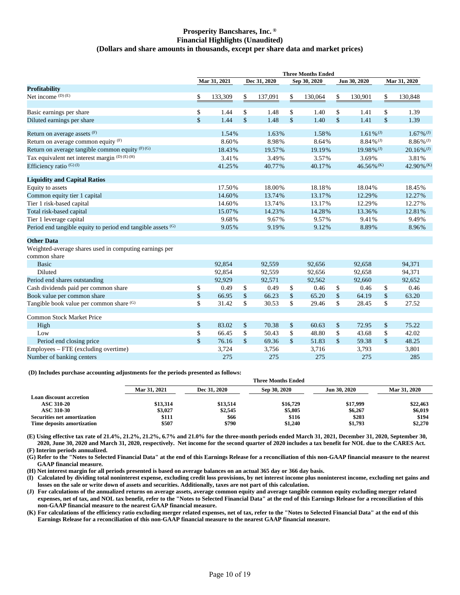## **Prosperity Bancshares, Inc. ® Financial Highlights (Unaudited) (Dollars and share amounts in thousands, except per share data and market prices)**

|                                                                        |                    |              |               |                    | <b>Three Months Ended</b> |               |                          |                          |
|------------------------------------------------------------------------|--------------------|--------------|---------------|--------------------|---------------------------|---------------|--------------------------|--------------------------|
|                                                                        |                    | Mar 31, 2021 | Dec 31, 2020  |                    | Sep 30, 2020              | Jun 30, 2020  |                          | Mar 31, 2020             |
| <b>Profitability</b>                                                   |                    |              |               |                    |                           |               |                          |                          |
| Net income $(D)$ (E)                                                   | \$                 | 133,309      | \$<br>137,091 | \$                 | 130,064                   | \$            | 130,901                  | \$<br>130,848            |
| Basic earnings per share                                               | \$                 | 1.44         | \$<br>1.48    | $\mathbb{S}$       | 1.40                      | \$            | 1.41                     | \$<br>1.39               |
| Diluted earnings per share                                             | $\mathbf{\hat{S}}$ | 1.44         | \$<br>1.48    | $\mathbf{\hat{S}}$ | 1.40                      | $\mathsf{\$}$ | 1.41                     | \$<br>1.39               |
| Return on average assets (F)                                           |                    | 1.54%        | 1.63%         |                    | 1.58%                     |               | $1.61\%$ <sup>(J)</sup>  | $1.67\%$ <sup>(J)</sup>  |
| Return on average common equity $(F)$                                  |                    | 8.60%        | 8.98%         |                    | 8.64%                     |               | $8.84\%$ <sup>(J)</sup>  | $8.86\%$ <sup>(J)</sup>  |
| Return on average tangible common equity (F)(G)                        |                    | 18.43%       | 19.57%        |                    | 19.19%                    |               | $19.98\%$ <sup>(J)</sup> | $20.16\%$ <sup>(J)</sup> |
| Tax equivalent net interest margin (D) (E) (H)                         |                    | 3.41%        | 3.49%         |                    | 3.57%                     |               | 3.69%                    | 3.81%                    |
| Efficiency ratio $(G)$ (I)                                             |                    | 41.25%       | 40.77%        |                    | 40.17%                    |               | $46.56\%$ <sup>(K)</sup> | 42.90% (K)               |
| <b>Liquidity and Capital Ratios</b>                                    |                    |              |               |                    |                           |               |                          |                          |
| Equity to assets                                                       |                    | 17.50%       | 18.00%        |                    | 18.18%                    |               | 18.04%                   | 18.45%                   |
| Common equity tier 1 capital                                           |                    | 14.60%       | 13.74%        |                    | 13.17%                    |               | 12.29%                   | 12.27%                   |
| Tier 1 risk-based capital                                              |                    | 14.60%       | 13.74%        |                    | 13.17%                    |               | 12.29%                   | 12.27%                   |
| Total risk-based capital                                               |                    | 15.07%       | 14.23%        |                    | 14.28%                    |               | 13.36%                   | 12.81%                   |
| Tier 1 leverage capital                                                |                    | 9.68%        | 9.67%         |                    | 9.57%                     |               | 9.41%                    | 9.49%                    |
| Period end tangible equity to period end tangible assets (G)           |                    | 9.05%        | 9.19%         |                    | 9.12%                     |               | 8.89%                    | 8.96%                    |
| <b>Other Data</b>                                                      |                    |              |               |                    |                           |               |                          |                          |
| Weighted-average shares used in computing earnings per<br>common share |                    |              |               |                    |                           |               |                          |                          |
| <b>Basic</b>                                                           |                    | 92,854       | 92,559        |                    | 92,656                    |               | 92,658                   | 94,371                   |
| Diluted                                                                |                    | 92,854       | 92,559        |                    | 92,656                    |               | 92,658                   | 94,371                   |
| Period end shares outstanding                                          |                    | 92,929       | 92,571        |                    | 92,562                    |               | 92,660                   | 92,652                   |
| Cash dividends paid per common share                                   | \$                 | 0.49         | \$<br>0.49    | \$                 | 0.46                      | \$            | 0.46                     | \$<br>0.46               |
| Book value per common share                                            | \$                 | 66.95        | \$<br>66.23   | \$                 | 65.20                     | $\mathsf{\$}$ | 64.19                    | \$<br>63.20              |
| Tangible book value per common share (G)                               | \$                 | 31.42        | \$<br>30.53   | \$                 | 29.46                     | \$            | 28.45                    | \$<br>27.52              |
| <b>Common Stock Market Price</b>                                       |                    |              |               |                    |                           |               |                          |                          |
| High                                                                   | \$                 | 83.02        | \$<br>70.38   | \$                 | 60.63                     | \$            | 72.95                    | \$<br>75.22              |
| Low                                                                    | \$                 | 66.45        | \$<br>50.43   | \$                 | 48.80                     | \$            | 43.68                    | \$<br>42.02              |
| Period end closing price                                               | $\mathsf{\$}$      | 76.16        | \$<br>69.36   | \$                 | 51.83                     | $\mathsf{\$}$ | 59.38                    | \$<br>48.25              |
| Employees – FTE (excluding overtime)                                   |                    | 3,724        | 3,756         |                    | 3,716                     |               | 3,793                    | 3,801                    |
| Number of banking centers                                              |                    | 275          | 275           |                    | 275                       |               | 275                      | 285                      |

**(D) Includes purchase accounting adjustments for the periods presented as follows:**

|                                    |              | <b>Three Months Ended</b> |              |                     |              |  |  |  |  |  |  |  |
|------------------------------------|--------------|---------------------------|--------------|---------------------|--------------|--|--|--|--|--|--|--|
|                                    | Mar 31, 2021 | Dec 31, 2020              | Sep 30, 2020 | <b>Jun 30, 2020</b> | Mar 31, 2020 |  |  |  |  |  |  |  |
| Loan discount accretion            |              |                           |              |                     |              |  |  |  |  |  |  |  |
| <b>ASC 310-20</b>                  | \$13,314     | \$13,514                  | \$16,729     | \$17,999            | \$22,463     |  |  |  |  |  |  |  |
| ASC 310-30                         | \$3,027      | \$2,545                   | \$5,805      | \$6,267             | \$6,019      |  |  |  |  |  |  |  |
| <b>Securities net amortization</b> | \$111        | \$66                      | \$116        | \$203               | \$194        |  |  |  |  |  |  |  |
| <b>Time deposits amortization</b>  | \$507        | \$790                     | \$1,240      | \$1,793             | \$2,270      |  |  |  |  |  |  |  |
|                                    |              |                           |              |                     |              |  |  |  |  |  |  |  |

**(E) Using effective tax rate of 21.4%, 21.2%, 21.2%, 6.7% and 21.0% for the three-month periods ended March 31, 2021, December 31, 2020, September 30, 2020, June 30, 2020 and March 31, 2020, respectively. Net income for the second quarter of 2020 includes a tax benefit for NOL due to the CARES Act.**

**(F) Interim periods annualized.**

**(G) Refer to the "Notes to Selected Financial Data" at the end of this Earnings Release for a reconciliation of this non-GAAP financial measure to the nearest GAAP financial measure.**

**(H) Net interest margin for all periods presented is based on average balances on an actual 365 day or 366 day basis.**

**(I) Calculated by dividing total noninterest expense, excluding credit loss provisions, by net interest income plus noninterest income, excluding net gains and losses on the sale or write down of assets and securities. Additionally, taxes are not part of this calculation.**

**(J) For calculations of the annualized returns on average assets, average common equity and average tangible common equity excluding merger related expenses, net of tax, and NOL tax benefit, refer to the "Notes to Selected Financial Data" at the end of this Earnings Release for a reconciliation of this non-GAAP financial measure to the nearest GAAP financial measure.**

**(K) For calculations of the efficiency ratio excluding merger related expenses, net of tax, refer to the "Notes to Selected Financial Data" at the end of this Earnings Release for a reconciliation of this non-GAAP financial measure to the nearest GAAP financial measure.**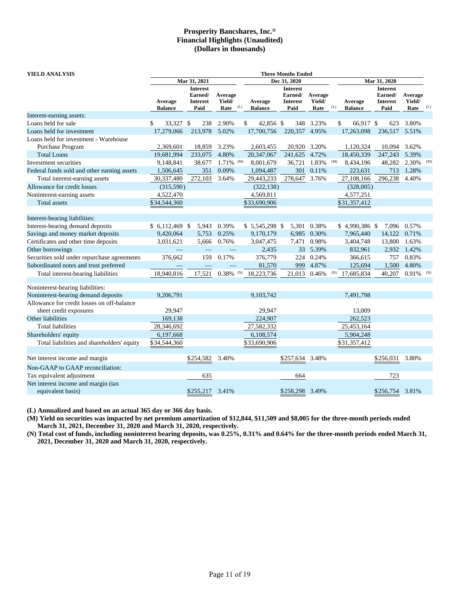| YIELD ANALYSIS                              |                                                                                                                 |              |                         |                           |                                                       | <b>Three Months Ended</b> |             |                           |                                                       |                           |             |     |
|---------------------------------------------|-----------------------------------------------------------------------------------------------------------------|--------------|-------------------------|---------------------------|-------------------------------------------------------|---------------------------|-------------|---------------------------|-------------------------------------------------------|---------------------------|-------------|-----|
|                                             |                                                                                                                 | Mar 31, 2021 |                         |                           |                                                       | Dec 31, 2020              |             |                           |                                                       | Mar 31, 2020              |             |     |
|                                             | <b>Interest</b><br>Average<br>Earned/<br>Yield/<br>Average<br><b>Interest</b><br><b>Balance</b><br>Paid<br>Rate |              | (L)                     | Average<br><b>Balance</b> | <b>Interest</b><br>Earned/<br><b>Interest</b><br>Paid | Average<br>Yield/<br>Rate | (L)         | Average<br><b>Balance</b> | <b>Interest</b><br>Earned/<br><b>Interest</b><br>Paid | Average<br>Yield/<br>Rate | (L)         |     |
| Interest-earning assets:                    |                                                                                                                 |              |                         |                           |                                                       |                           |             |                           |                                                       |                           |             |     |
| Loans held for sale                         | \$<br>33,327 \$                                                                                                 | 238          | 2.90%                   |                           | 42,856 \$<br>\$                                       |                           | 348 3.23%   |                           | \$<br>66,917 \$                                       | 623                       | 3.80%       |     |
| Loans held for investment                   | 17,279,066                                                                                                      | 213,978      | 5.02%                   |                           | 17,700,756                                            | 220,357 4.95%             |             |                           | 17,263,098                                            | 236,517                   | 5.51%       |     |
| Loans held for investment - Warehouse       |                                                                                                                 |              |                         |                           |                                                       |                           |             |                           |                                                       |                           |             |     |
| Purchase Program                            | 2,369,601                                                                                                       | 18,859       | 3.23%                   |                           | 2,603,455                                             | 20,920                    | 3.20%       |                           | 1,120,324                                             | 10,094                    | 3.62%       |     |
| <b>Total Loans</b>                          | 19,681,994                                                                                                      | 233,075      | 4.80%                   |                           | 20,347,067                                            | 241,625                   | 4.72%       |                           | 18,450,339                                            | 247,243                   | 5.39%       |     |
| Investment securities                       | 9,148,841                                                                                                       | 38,677       | $1.71\%$ (M)            |                           | 8,001,679                                             | 36,721                    | 1.83%       | (M)                       | 8,434,196                                             | 48,282                    | 2.30%       | (M) |
| Federal funds sold and other earning assets | 1,506,645                                                                                                       | 351          | 0.09%                   |                           | 1,094,487                                             | 301                       | 0.11%       |                           | 223,631                                               | 713                       | 1.28%       |     |
| Total interest-earning assets               | 30,337,480                                                                                                      | 272,103      | 3.64%                   |                           | 29,443,233                                            | 278,647                   | 3.76%       |                           | 27,108,166                                            | 296,238                   | 4.40%       |     |
| Allowance for credit losses                 | (315,590)                                                                                                       |              |                         |                           | (322, 138)                                            |                           |             |                           | (328,005)                                             |                           |             |     |
| Noninterest-earning assets                  | 4,522,470                                                                                                       |              |                         |                           | 4,569,811                                             |                           |             |                           | 4,577,251                                             |                           |             |     |
| Total assets                                | \$34,544,360                                                                                                    |              |                         |                           | \$33,690,906                                          |                           |             |                           | \$31,357,412                                          |                           |             |     |
| Interest-bearing liabilities:               |                                                                                                                 |              |                         |                           |                                                       |                           |             |                           |                                                       |                           |             |     |
| Interest-bearing demand deposits            | $$6,112,469$ \,                                                                                                 | 5,943        | 0.39%                   |                           | $$5,545,298$ \$                                       |                           | 5,301 0.38% |                           | \$4,990,386 \$                                        |                           | 7,096 0.57% |     |
| Savings and money market deposits           | 9,420,064                                                                                                       | 5,753        | 0.25%                   |                           | 9,170,179                                             | 6,985                     | 0.30%       |                           | 7,965,440                                             | 14,122                    | 0.71%       |     |
| Certificates and other time deposits        | 3,031,621                                                                                                       | 5,666        | 0.76%                   |                           | 3,047,475                                             | 7,471                     | 0.98%       |                           | 3,404,748                                             | 13,800                    | 1.63%       |     |
| Other borrowings                            |                                                                                                                 |              |                         |                           | 2,435                                                 |                           | 33 5.39%    |                           | 832,961                                               | 2,932                     | 1.42%       |     |
| Securities sold under repurchase agreements | 376,662                                                                                                         | 159          | 0.17%                   |                           | 376,779                                               | 224                       | 0.24%       |                           | 366,615                                               | 757                       | 0.83%       |     |
| Subordinated notes and trust preferred      |                                                                                                                 |              |                         |                           | 81,570                                                | 999                       | 4.87%       |                           | 125,694                                               | 1,500                     | 4.80%       |     |
| Total interest-bearing liabilities          | 18,940,816                                                                                                      | 17,521       | $0.38\%$ <sup>(N)</sup> |                           | 18,223,736                                            | 21,013                    | 0.46%       | (N)                       | 17,685,834                                            | 40,207                    | 0.91%       | (N) |
| Noninterest-bearing liabilities:            |                                                                                                                 |              |                         |                           |                                                       |                           |             |                           |                                                       |                           |             |     |
| Noninterest-bearing demand deposits         | 9,206,791                                                                                                       |              |                         |                           | 9,103,742                                             |                           |             |                           | 7,491,798                                             |                           |             |     |
| Allowance for credit losses on off-balance  |                                                                                                                 |              |                         |                           |                                                       |                           |             |                           |                                                       |                           |             |     |
| sheet credit exposures                      | 29,947                                                                                                          |              |                         |                           | 29,947                                                |                           |             |                           | 13,009                                                |                           |             |     |
| Other liabilities                           | 169,138                                                                                                         |              |                         |                           | 224,907                                               |                           |             |                           | 262,523                                               |                           |             |     |
| <b>Total liabilities</b>                    | 28,346,692                                                                                                      |              |                         |                           | 27,582,332                                            |                           |             |                           | 25,453,164                                            |                           |             |     |
| Shareholders' equity                        | 6,197,668                                                                                                       |              |                         |                           | 6,108,574                                             |                           |             |                           | 5,904,248                                             |                           |             |     |
| Total liabilities and shareholders' equity  | \$34,544,360                                                                                                    |              |                         |                           | \$33,690,906                                          |                           |             |                           | \$31,357,412                                          |                           |             |     |
| Net interest income and margin              |                                                                                                                 | \$254,582    | 3.40%                   |                           |                                                       | \$257,634                 | 3.48%       |                           |                                                       | \$256,031                 | 3.80%       |     |
| Non-GAAP to GAAP reconciliation:            |                                                                                                                 |              |                         |                           |                                                       |                           |             |                           |                                                       |                           |             |     |
| Tax equivalent adjustment                   |                                                                                                                 | 635          |                         |                           |                                                       | 664                       |             |                           |                                                       | 723                       |             |     |
| Net interest income and margin (tax         |                                                                                                                 |              |                         |                           |                                                       |                           |             |                           |                                                       |                           |             |     |
| equivalent basis)                           |                                                                                                                 | \$255,217    | 3.41%                   |                           |                                                       | \$258,298 3.49%           |             |                           |                                                       | \$256,754                 | 3.81%       |     |

**(L) Annualized and based on an actual 365 day or 366 day basis.**

**(M) Yield on securities was impacted by net premium amortization of \$12,844, \$11,509 and \$8,005 for the three-month periods ended March 31, 2021, December 31, 2020 and March 31, 2020, respectively.**

**(N) Total cost of funds, including noninterest bearing deposits, was 0.25%, 0.31% and 0.64% for the three-month periods ended March 31, 2021, December 31, 2020 and March 31, 2020, respectively.**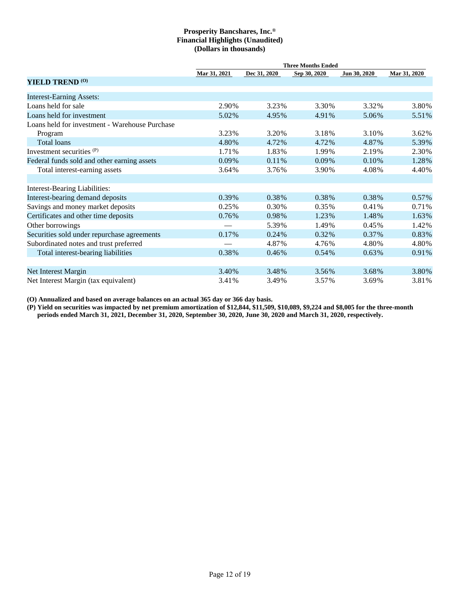|                                                |              |              | <b>Three Months Ended</b> |              |              |
|------------------------------------------------|--------------|--------------|---------------------------|--------------|--------------|
|                                                | Mar 31, 2021 | Dec 31, 2020 | Sep 30, 2020              | Jun 30, 2020 | Mar 31, 2020 |
| <b>YIELD TREND (O)</b>                         |              |              |                           |              |              |
| <b>Interest-Earning Assets:</b>                |              |              |                           |              |              |
| Loans held for sale                            | 2.90%        | 3.23%        | 3.30%                     | 3.32%        | 3.80%        |
| Loans held for investment                      | 5.02%        | 4.95%        | 4.91%                     | 5.06%        | 5.51%        |
| Loans held for investment - Warehouse Purchase |              |              |                           |              |              |
| Program                                        | 3.23%        | 3.20%        | 3.18%                     | 3.10%        | 3.62%        |
| Total loans                                    | 4.80%        | 4.72%        | 4.72%                     | 4.87%        | 5.39%        |
| Investment securities <sup>(P)</sup>           | 1.71%        | 1.83%        | 1.99%                     | 2.19%        | 2.30%        |
| Federal funds sold and other earning assets    | $0.09\%$     | 0.11%        | $0.09\%$                  | 0.10%        | 1.28%        |
| Total interest-earning assets                  | 3.64%        | 3.76%        | 3.90%                     | 4.08%        | 4.40%        |
|                                                |              |              |                           |              |              |
| <b>Interest-Bearing Liabilities:</b>           |              |              |                           |              |              |
| Interest-bearing demand deposits               | 0.39%        | 0.38%        | 0.38%                     | 0.38%        | 0.57%        |
| Savings and money market deposits              | 0.25%        | 0.30%        | 0.35%                     | 0.41%        | 0.71%        |
| Certificates and other time deposits           | 0.76%        | 0.98%        | 1.23%                     | 1.48%        | 1.63%        |
| Other borrowings                               |              | 5.39%        | 1.49%                     | $0.45\%$     | 1.42%        |
| Securities sold under repurchase agreements    | 0.17%        | 0.24%        | 0.32%                     | 0.37%        | 0.83%        |
| Subordinated notes and trust preferred         |              | 4.87%        | 4.76%                     | 4.80%        | 4.80%        |
| Total interest-bearing liabilities             | 0.38%        | 0.46%        | 0.54%                     | 0.63%        | 0.91%        |
|                                                |              |              |                           |              |              |
| Net Interest Margin                            | 3.40%        | 3.48%        | 3.56%                     | 3.68%        | 3.80%        |
| Net Interest Margin (tax equivalent)           | 3.41%        | 3.49%        | 3.57%                     | 3.69%        | 3.81%        |

**(O) Annualized and based on average balances on an actual 365 day or 366 day basis.**

**(P) Yield on securities was impacted by net premium amortization of \$12,844, \$11,509, \$10,089, \$9,224 and \$8,005 for the three-month periods ended March 31, 2021, December 31, 2020, September 30, 2020, June 30, 2020 and March 31, 2020, respectively.**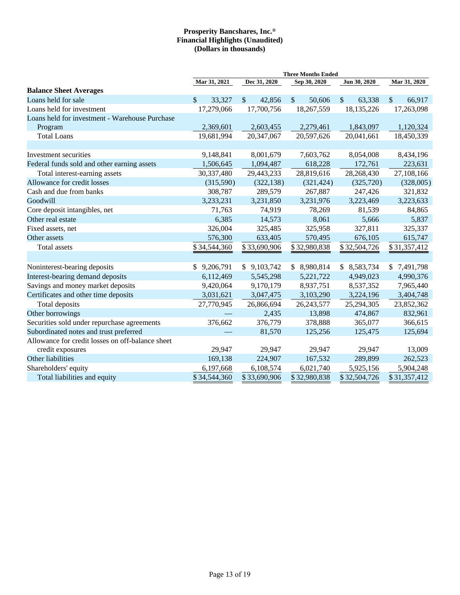|                                                  | <b>Three Months Ended</b> |                        |                         |                        |              |  |  |  |  |  |  |
|--------------------------------------------------|---------------------------|------------------------|-------------------------|------------------------|--------------|--|--|--|--|--|--|
|                                                  | Mar 31, 2021              | Dec 31, 2020           | Sep 30, 2020            | Jun 30, 2020           | Mar 31, 2020 |  |  |  |  |  |  |
| <b>Balance Sheet Averages</b>                    |                           |                        |                         |                        |              |  |  |  |  |  |  |
| Loans held for sale                              | $\mathcal{S}$<br>33,327   | $\mathbb{S}$<br>42,856 | $\mathcal{S}$<br>50,606 | $\mathbb{S}$<br>63,338 | \$<br>66,917 |  |  |  |  |  |  |
| Loans held for investment                        | 17,279,066                | 17,700,756             | 18,267,559              | 18,135,226             | 17,263,098   |  |  |  |  |  |  |
| Loans held for investment - Warehouse Purchase   |                           |                        |                         |                        |              |  |  |  |  |  |  |
| Program                                          | 2,369,601                 | 2,603,455              | 2,279,461               | 1,843,097              | 1,120,324    |  |  |  |  |  |  |
| <b>Total Loans</b>                               | 19,681,994                | 20,347,067             | 20,597,626              | 20,041,661             | 18,450,339   |  |  |  |  |  |  |
| Investment securities                            | 9,148,841                 | 8,001,679              | 7,603,762               | 8,054,008              | 8,434,196    |  |  |  |  |  |  |
| Federal funds sold and other earning assets      | 1,506,645                 | 1,094,487              | 618,228                 | 172,761                | 223,631      |  |  |  |  |  |  |
| Total interest-earning assets                    | 30,337,480                | 29,443,233             | 28,819,616              | 28,268,430             | 27,108,166   |  |  |  |  |  |  |
| Allowance for credit losses                      | (315,590)                 | (322, 138)             | (321, 424)              | (325, 720)             | (328,005)    |  |  |  |  |  |  |
| Cash and due from banks                          | 308,787                   | 289,579                | 267,887                 | 247,426                | 321,832      |  |  |  |  |  |  |
| Goodwill                                         | 3,233,231                 | 3,231,850              | 3,231,976               | 3,223,469              | 3,223,633    |  |  |  |  |  |  |
| Core deposit intangibles, net                    | 71,763                    | 74,919                 | 78,269                  | 81,539                 | 84,865       |  |  |  |  |  |  |
| Other real estate                                | 6,385                     | 14,573                 | 8,061                   | 5,666                  | 5,837        |  |  |  |  |  |  |
| Fixed assets, net                                | 326,004                   | 325,485                | 325,958                 | 327,811                | 325,337      |  |  |  |  |  |  |
| Other assets                                     | 576,300                   | 633,405                | 570,495                 | 676,105                | 615,747      |  |  |  |  |  |  |
| Total assets                                     | \$34,544,360              | \$33,690,906           | \$32,980,838            | \$32,504,726           | \$31,357,412 |  |  |  |  |  |  |
|                                                  |                           |                        |                         |                        |              |  |  |  |  |  |  |
| Noninterest-bearing deposits                     | \$9,206,791               | \$9,103,742            | \$8,980,814             | \$8,583,734            | \$7,491,798  |  |  |  |  |  |  |
| Interest-bearing demand deposits                 | 6,112,469                 | 5,545,298              | 5,221,722               | 4,949,023              | 4,990,376    |  |  |  |  |  |  |
| Savings and money market deposits                | 9,420,064                 | 9,170,179              | 8,937,751               | 8,537,352              | 7,965,440    |  |  |  |  |  |  |
| Certificates and other time deposits             | 3,031,621                 | 3,047,475              | 3,103,290               | 3,224,196              | 3,404,748    |  |  |  |  |  |  |
| Total deposits                                   | 27,770,945                | 26,866,694             | 26,243,577              | 25,294,305             | 23,852,362   |  |  |  |  |  |  |
| Other borrowings                                 |                           | 2,435                  | 13,898                  | 474,867                | 832,961      |  |  |  |  |  |  |
| Securities sold under repurchase agreements      | 376,662                   | 376,779                | 378,888                 | 365,077                | 366,615      |  |  |  |  |  |  |
| Subordinated notes and trust preferred           |                           | 81,570                 | 125,256                 | 125,475                | 125,694      |  |  |  |  |  |  |
| Allowance for credit losses on off-balance sheet |                           |                        |                         |                        |              |  |  |  |  |  |  |
| credit exposures                                 | 29,947                    | 29,947                 | 29,947                  | 29,947                 | 13,009       |  |  |  |  |  |  |
| Other liabilities                                | 169,138                   | 224,907                | 167,532                 | 289,899                | 262,523      |  |  |  |  |  |  |
| Shareholders' equity                             | 6,197,668                 | 6,108,574              | 6,021,740               | 5,925,156              | 5,904,248    |  |  |  |  |  |  |
| Total liabilities and equity                     | \$34,544,360              | \$33,690,906           | \$32,980,838            | \$32,504,726           | \$31,357,412 |  |  |  |  |  |  |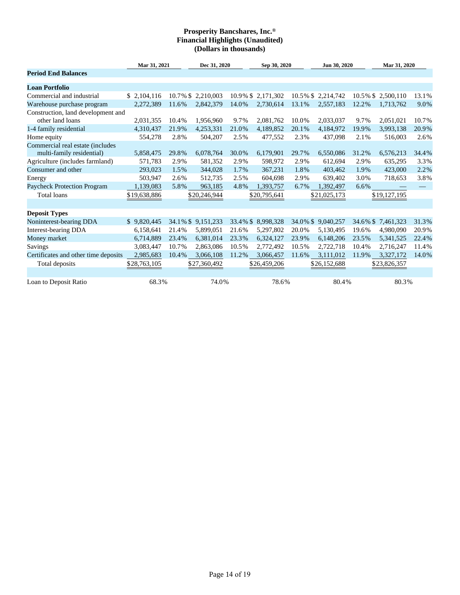|                                                               | Mar 31, 2021 |             | Dec 31, 2020 |          | Sep 30, 2020      |          | Jun 30, 2020      |             | Mar 31, 2020 |       |
|---------------------------------------------------------------|--------------|-------------|--------------|----------|-------------------|----------|-------------------|-------------|--------------|-------|
| <b>Period End Balances</b>                                    |              |             |              |          |                   |          |                   |             |              |       |
| <b>Loan Portfolio</b>                                         |              |             |              |          |                   |          |                   |             |              |       |
| Commercial and industrial                                     | \$2,104,116  | 10.7% \$    | 2,210,003    |          | 10.9% \$2,171,302 |          | 10.5% \$2,214,742 | $10.5\%$ \$ | 2,500,110    | 13.1% |
| Warehouse purchase program                                    | 2,272,389    | 11.6%       | 2,842,379    | 14.0%    | 2,730,614         | 13.1%    | 2,557,183         | 12.2%       | 1,713,762    | 9.0%  |
| Construction, land development and                            |              |             |              |          |                   |          |                   |             |              |       |
| other land loans                                              | 2,031,355    | 10.4%       | 1,956,960    | 9.7%     | 2,081,762         | 10.0%    | 2,033,037         | 9.7%        | 2,051,021    | 10.7% |
| 1-4 family residential                                        | 4,310,437    | 21.9%       | 4,253,331    | 21.0%    | 4,189,852         | 20.1%    | 4,184,972         | 19.9%       | 3,993,138    | 20.9% |
| Home equity                                                   | 554,278      | 2.8%        | 504,207      | 2.5%     | 477,552           | 2.3%     | 437,098           | 2.1%        | 516,003      | 2.6%  |
| Commercial real estate (includes<br>multi-family residential) | 5,858,475    | 29.8%       | 6,078,764    | 30.0%    | 6,179,901         | 29.7%    | 6,550,086         | 31.2%       | 6,576,213    | 34.4% |
| Agriculture (includes farmland)                               | 571,783      | 2.9%        | 581,352      | 2.9%     | 598,972           | 2.9%     | 612,694           | 2.9%        | 635,295      | 3.3%  |
| Consumer and other                                            | 293,023      | 1.5%        | 344,028      | 1.7%     | 367,231           | 1.8%     | 403,462           | 1.9%        | 423,000      | 2.2%  |
| Energy                                                        | 503,947      | 2.6%        | 512,735      | 2.5%     | 604,698           | 2.9%     | 639,402           | 3.0%        | 718,653      | 3.8%  |
| Paycheck Protection Program                                   | 1,139,083    | 5.8%        | 963,185      | 4.8%     | 1,393,757         | 6.7%     | 1,392,497         | 6.6%        |              |       |
| Total loans                                                   | \$19,638,886 |             | \$20,246,944 |          | \$20,795,641      |          | \$21,025,173      |             | \$19,127,195 |       |
|                                                               |              |             |              |          |                   |          |                   |             |              |       |
| <b>Deposit Types</b>                                          |              |             |              |          |                   |          |                   |             |              |       |
| Noninterest-bearing DDA                                       | \$9,820,445  | $34.1\%$ \$ | 9,151,233    | 33.4% \$ | 8,998,328         | 34.0% \$ | 9,040,257         | 34.6% \$    | 7,461,323    | 31.3% |
| Interest-bearing DDA                                          | 6,158,641    | 21.4%       | 5,899,051    | 21.6%    | 5,297,802         | 20.0%    | 5,130,495         | 19.6%       | 4,980,090    | 20.9% |
| Money market                                                  | 6,714,889    | 23.4%       | 6,381,014    | 23.3%    | 6,324,127         | 23.9%    | 6,148,206         | 23.5%       | 5,341,525    | 22.4% |
| Savings                                                       | 3,083,447    | 10.7%       | 2,863,086    | 10.5%    | 2,772,492         | 10.5%    | 2,722,718         | 10.4%       | 2,716,247    | 11.4% |
| Certificates and other time deposits                          | 2,985,683    | 10.4%       | 3,066,108    | 11.2%    | 3,066,457         | 11.6%    | 3,111,012         | 11.9%       | 3,327,172    | 14.0% |
| Total deposits                                                | \$28,763,105 |             | \$27,360,492 |          | \$26,459,206      |          | \$26,152,688      |             | \$23,826,357 |       |
| Loan to Deposit Ratio                                         | 68.3%        |             | 74.0%        |          | 78.6%             |          | 80.4%             |             | 80.3%        |       |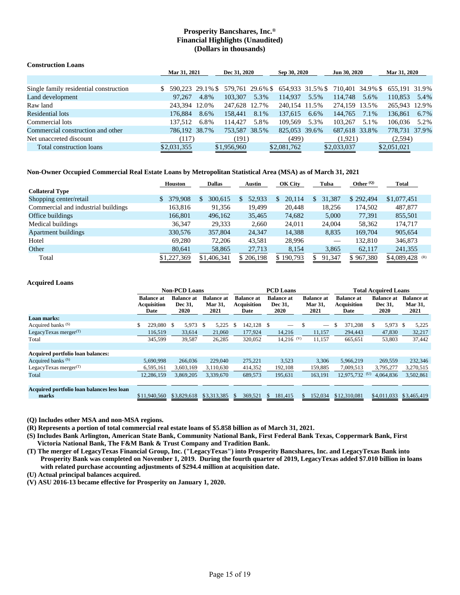| <b>Construction Loans</b>              |                  |              |               |              |                                                                  |              |               |      |               |      |
|----------------------------------------|------------------|--------------|---------------|--------------|------------------------------------------------------------------|--------------|---------------|------|---------------|------|
|                                        |                  | Mar 31, 2021 |               | Dec 31, 2020 |                                                                  | Sep 30, 2020 | Jun 30, 2020  |      | Mar 31, 2020  |      |
|                                        |                  |              |               |              |                                                                  |              |               |      |               |      |
| Single family residential construction | 590.223 29.1% \$ |              |               |              | 579,761 29.6% \$ 654,933 31.5% \$ 710,401 34.9% \$ 655,191 31.9% |              |               |      |               |      |
| Land development                       | 97.267           | 4.8%         | 103,307       | 5.3%         | 114.937                                                          | 5.5%         | 114,748       | 5.6% | 110.853       | 5.4% |
| Raw land                               | 243.394 12.0%    |              | 247.628 12.7% |              | 240.154 11.5%                                                    |              | 274,159 13.5% |      | 265.943 12.9% |      |
| <b>Residential lots</b>                | 176,884          | 8.6%         | 158,441       | 8.1%         | 137,615                                                          | 6.6%         | 144,765       | 7.1% | 136,861       | 6.7% |
| Commercial lots                        | 137.512          | 6.8%         | 114.427       | 5.8%         | 109.569                                                          | 5.3%         | 103.267       | 5.1% | 106,036       | 5.2% |
| Commercial construction and other      | 786,192 38.7%    |              | 753,587 38.5% |              | 825,053 39.6%                                                    |              | 687,618 33.8% |      | 778.731 37.9% |      |
| Net unaccreted discount                | (117)            |              | (191)         |              | (499)                                                            |              | (1,921)       |      | (2,594)       |      |
| Total construction loans               | \$2,031,355      |              | \$1,956,960   |              | \$2,081,762                                                      |              | \$2,033,037   |      | \$2,051,021   |      |

## **Non-Owner Occupied Commercial Real Estate Loans by Metropolitan Statistical Area (MSA) as of March 31, 2021**

| Houston     |               | <b>Dallas</b><br>Austin |           | Tulsa         | Other $\omega$ | <b>Total</b>    |
|-------------|---------------|-------------------------|-----------|---------------|----------------|-----------------|
|             |               |                         |           |               |                |                 |
| 379,908     | 300.615<br>\$ | 52,933                  | 20,114    | 31,387<br>\$. | \$292,494      | \$1,077,451     |
| 163.816     | 91,356        | 19,499                  | 20,448    | 18.256        | 174,502        | 487,877         |
| 166,801     | 496,162       | 35,465                  | 74,682    | 5,000         | 77.391         | 855,501         |
| 36.347      | 29,333        | 2.660                   | 24.011    | 24,004        | 58,362         | 174.717         |
| 330,576     | 357,804       | 24,347                  | 14,388    | 8,835         | 169.704        | 905,654         |
| 69.280      | 72,206        | 43,581                  | 28,996    |               | 132.810        | 346,873         |
| 80,641      | 58,865        | 27,713                  | 8,154     | 3,865         | 62,117         | 241,355         |
| \$1,227,369 | \$1,406,341   | \$206,198               | \$190,793 | 91,347        | \$967,380      | \$4,089,428 (R) |
|             |               |                         |           | OK City       |                |                 |

## **Acquired Loans**

|                                                     |                                                 | <b>Non-PCD Loans</b>                 |                                      |                                                 | <b>PCD</b> Loans                            |                                             | <b>Total Acquired Loans</b>                     |                                             |                                      |  |
|-----------------------------------------------------|-------------------------------------------------|--------------------------------------|--------------------------------------|-------------------------------------------------|---------------------------------------------|---------------------------------------------|-------------------------------------------------|---------------------------------------------|--------------------------------------|--|
|                                                     | <b>Balance at</b><br><b>Acquisition</b><br>Date | <b>Balance at</b><br>Dec 31.<br>2020 | <b>Balance at</b><br>Mar 31,<br>2021 | <b>Balance at</b><br><b>Acquisition</b><br>Date | <b>Balance at</b><br>Dec 31,<br><b>2020</b> | <b>Balance at</b><br><b>Mar 31,</b><br>2021 | <b>Balance at</b><br><b>Acquisition</b><br>Date | <b>Balance at</b><br>Dec 31.<br><b>2020</b> | <b>Balance</b> at<br>Mar 31,<br>2021 |  |
| Loan marks:                                         |                                                 |                                      |                                      |                                                 |                                             |                                             |                                                 |                                             |                                      |  |
| Acquired banks <sup>(S)</sup>                       | \$<br>229,080 \$                                | 5,973 \$                             | 5,225                                | 142,128 \$<br>-S                                |                                             | $\overline{\phantom{m}}$                    | 371,208<br>\$                                   | 5,973 \$<br>\$                              | 5,225                                |  |
| LegacyTexas merger $(T)$                            | 116.519                                         | 33.614                               | 21,060                               | 177,924                                         | 14.216                                      | 11,157                                      | 294,443                                         | 47,830                                      | 32,217                               |  |
| Total                                               | 345,599                                         | 39,587                               | 26,285                               | 320,052                                         | $14,216$ <sup>(V)</sup>                     | 11,157                                      | 665,651                                         | 53,803                                      | 37,442                               |  |
|                                                     |                                                 |                                      |                                      |                                                 |                                             |                                             |                                                 |                                             |                                      |  |
| Acquired portfolio loan balances:                   |                                                 |                                      |                                      |                                                 |                                             |                                             |                                                 |                                             |                                      |  |
| Acquired banks <sup>(S)</sup>                       | 5.690.998                                       | 266,036                              | 229,040                              | 275,221                                         | 3,523                                       | 3,306                                       | 5.966.219                                       | 269,559                                     | 232,346                              |  |
| LegacyTexas merger $(T)$                            | 6,595,161                                       | 3,603,169                            | 3,110,630                            | 414,352                                         | 192,108                                     | 159,885                                     | 7.009.513                                       | 3,795,277                                   | 3,270,515                            |  |
| Total                                               | 12.286.159                                      | 3.869.205                            | 3.339.670                            | 689.573                                         | 195.631                                     | 163.191                                     | 12,975,732                                      | (U)<br>4.064.836                            | 3,502,861                            |  |
|                                                     |                                                 |                                      |                                      |                                                 |                                             |                                             |                                                 |                                             |                                      |  |
| Acquired portfolio loan balances less loan<br>marks | \$11,940,560                                    | \$3,829,618                          | \$3,313,385                          | 369,521<br><sup>\$</sup>                        | 181,415<br><b>S</b>                         | 152,034<br>\$.                              | \$12,310,081                                    | \$4,011,033                                 | \$3,465,419                          |  |

**(Q) Includes other MSA and non-MSA regions.**

**(R) Represents a portion of total commercial real estate loans of \$5.858 billion as of March 31, 2021.**

- **(S) Includes Bank Arlington, American State Bank, Community National Bank, First Federal Bank Texas, Coppermark Bank, First Victoria National Bank, The F&M Bank & Trust Company and Tradition Bank.**
- **(T) The merger of LegacyTexas Financial Group, Inc. ("LegacyTexas") into Prosperity Bancshares, Inc. and LegacyTexas Bank into Prosperity Bank was completed on November 1, 2019. During the fourth quarter of 2019, LegacyTexas added \$7.010 billion in loans with related purchase accounting adjustments of \$294.4 million at acquisition date.**

**(U) Actual principal balances acquired.**

**(V) ASU 2016-13 became effective for Prosperity on January 1, 2020.**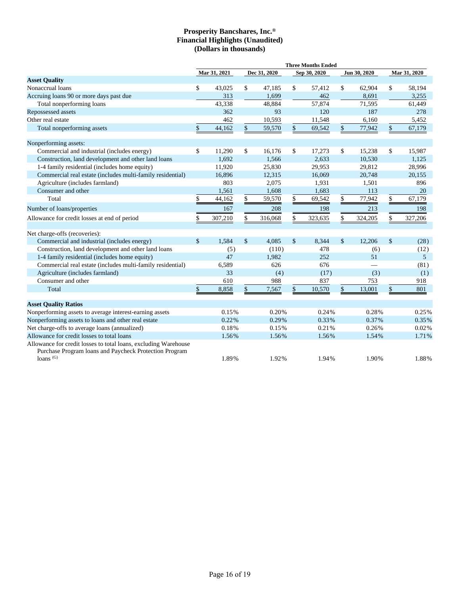|                                                                                                                                          |              |              |                                   |              |                    | <b>Three Months Ended</b> |               |              |                |
|------------------------------------------------------------------------------------------------------------------------------------------|--------------|--------------|-----------------------------------|--------------|--------------------|---------------------------|---------------|--------------|----------------|
|                                                                                                                                          |              | Mar 31, 2021 |                                   | Dec 31, 2020 |                    | Sep 30, 2020              |               | Jun 30, 2020 | Mar 31, 2020   |
| <b>Asset Quality</b>                                                                                                                     |              |              |                                   |              |                    |                           |               |              |                |
| Nonaccrual loans                                                                                                                         | \$           | 43,025       | \$                                | 47,185       | \$                 | 57,412                    | \$            | 62,904       | \$<br>58,194   |
| Accruing loans 90 or more days past due                                                                                                  |              | 313          |                                   | 1,699        |                    | 462                       |               | 8,691        | 3,255          |
| Total nonperforming loans                                                                                                                |              | 43,338       |                                   | 48,884       |                    | 57,874                    |               | 71,595       | 61,449         |
| Repossessed assets                                                                                                                       |              | 362          |                                   | 93           |                    | 120                       |               | 187          | 278            |
| Other real estate                                                                                                                        |              | 462          |                                   | 10,593       |                    | 11,548                    |               | 6,160        | 5,452          |
| Total nonperforming assets                                                                                                               | \$           | 44,162       | \$                                | 59,570       | $\mathbb{S}$       | 69,542                    | \$            | 77,942       | \$<br>67,179   |
| Nonperforming assets:                                                                                                                    |              |              |                                   |              |                    |                           |               |              |                |
| Commercial and industrial (includes energy)                                                                                              | \$           | 11,290       | \$                                | 16,176       | \$                 | 17,273                    | \$            | 15,238       | \$<br>15,987   |
| Construction, land development and other land loans                                                                                      |              | 1,692        |                                   | 1,566        |                    | 2,633                     |               | 10,530       | 1,125          |
| 1-4 family residential (includes home equity)                                                                                            |              | 11,920       |                                   | 25,830       |                    | 29,953                    |               | 29,812       | 28,996         |
| Commercial real estate (includes multi-family residential)                                                                               |              | 16,896       |                                   | 12,315       |                    | 16,069                    |               | 20,748       | 20,155         |
| Agriculture (includes farmland)                                                                                                          |              | 803          |                                   | 2,075        |                    | 1,931                     |               | 1,501        | 896            |
| Consumer and other                                                                                                                       |              | 1,561        |                                   | 1,608        |                    | 1,683                     |               | 113          | 20             |
| Total                                                                                                                                    | \$           | 44,162       | $\frac{\mathcal{L}}{\mathcal{L}}$ | 59,570       | \$                 | 69,542                    | \$            | 77,942       | \$<br>67,179   |
| Number of loans/properties                                                                                                               |              | 167          |                                   | 208          |                    | 198                       |               | 213          | 198            |
| Allowance for credit losses at end of period                                                                                             | \$           | 307,210      | \$                                | 316,068      | \$                 | 323,635                   | \$            | 324,205      | \$<br>327,206  |
| Net charge-offs (recoveries):                                                                                                            |              |              |                                   |              |                    |                           |               |              |                |
| Commercial and industrial (includes energy)                                                                                              | $\mathbb{S}$ | 1,584        | $\boldsymbol{\mathsf{S}}$         | 4,085        | $\mathbf{\hat{S}}$ | 8,344                     | $\mathsf{\$}$ | 12,206       | \$<br>(28)     |
| Construction, land development and other land loans                                                                                      |              | (5)          |                                   | (110)        |                    | 478                       |               | (6)          | (12)           |
| 1-4 family residential (includes home equity)                                                                                            |              | 47           |                                   | 1.982        |                    | 252                       |               | 51           | 5 <sup>5</sup> |
| Commercial real estate (includes multi-family residential)                                                                               |              | 6,589        |                                   | 626          |                    | 676                       |               |              | (81)           |
| Agriculture (includes farmland)                                                                                                          |              | 33           |                                   | (4)          |                    | (17)                      |               | (3)          | (1)            |
| Consumer and other                                                                                                                       |              | 610          |                                   | 988          |                    | 837                       |               | 753          | 918            |
| Total                                                                                                                                    | \$           | 8,858        | \$                                | 7,567        | $\mathbb{S}$       | 10,570                    | \$            | 13,001       | \$<br>801      |
| <b>Asset Quality Ratios</b>                                                                                                              |              |              |                                   |              |                    |                           |               |              |                |
| Nonperforming assets to average interest-earning assets                                                                                  |              | 0.15%        |                                   | 0.20%        |                    | 0.24%                     |               | 0.28%        | 0.25%          |
| Nonperforming assets to loans and other real estate                                                                                      |              | 0.22%        |                                   | 0.29%        |                    | 0.33%                     |               | 0.37%        | 0.35%          |
| Net charge-offs to average loans (annualized)                                                                                            |              | 0.18%        |                                   | 0.15%        |                    | 0.21%                     |               | 0.26%        | 0.02%          |
| Allowance for credit losses to total loans                                                                                               |              | 1.56%        |                                   | 1.56%        |                    | 1.56%                     |               | 1.54%        | 1.71%          |
| Allowance for credit losses to total loans, excluding Warehouse<br>Purchase Program loans and Paycheck Protection Program<br>loans $(G)$ |              | 1.89%        |                                   | 1.92%        |                    | 1.94%                     |               | 1.90%        | 1.88%          |
|                                                                                                                                          |              |              |                                   |              |                    |                           |               |              |                |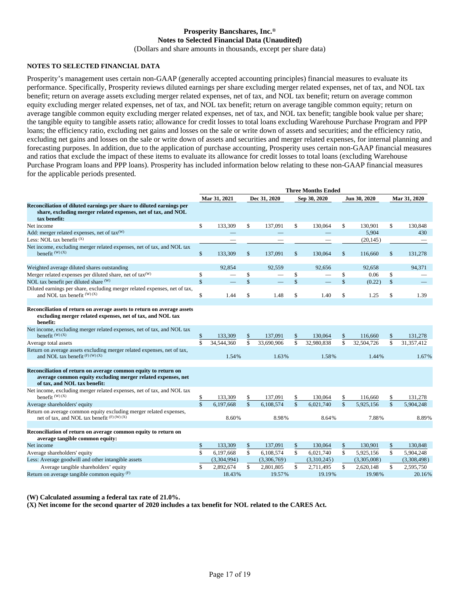## **Prosperity Bancshares, Inc.® Notes to Selected Financial Data (Unaudited)**

(Dollars and share amounts in thousands, except per share data)

## **NOTES TO SELECTED FINANCIAL DATA**

Prosperity's management uses certain non-GAAP (generally accepted accounting principles) financial measures to evaluate its performance. Specifically, Prosperity reviews diluted earnings per share excluding merger related expenses, net of tax, and NOL tax benefit; return on average assets excluding merger related expenses, net of tax, and NOL tax benefit; return on average common equity excluding merger related expenses, net of tax, and NOL tax benefit; return on average tangible common equity; return on average tangible common equity excluding merger related expenses, net of tax, and NOL tax benefit; tangible book value per share; the tangible equity to tangible assets ratio; allowance for credit losses to total loans excluding Warehouse Purchase Program and PPP loans; the efficiency ratio, excluding net gains and losses on the sale or write down of assets and securities; and the efficiency ratio, excluding net gains and losses on the sale or write down of assets and securities and merger related expenses, for internal planning and forecasting purposes. In addition, due to the application of purchase accounting, Prosperity uses certain non-GAAP financial measures and ratios that exclude the impact of these items to evaluate its allowance for credit losses to total loans (excluding Warehouse Purchase Program loans and PPP loans). Prosperity has included information below relating to these non-GAAP financial measures for the applicable periods presented.

|                                                                                                                                                                | <b>Three Months Ended</b> |              |                    |                          |               |              |               |                    |              |              |
|----------------------------------------------------------------------------------------------------------------------------------------------------------------|---------------------------|--------------|--------------------|--------------------------|---------------|--------------|---------------|--------------------|--------------|--------------|
|                                                                                                                                                                |                           | Mar 31, 2021 |                    | Dec 31, 2020             |               | Sep 30, 2020 |               | Jun 30, 2020       |              | Mar 31, 2020 |
| Reconciliation of diluted earnings per share to diluted earnings per<br>share, excluding merger related expenses, net of tax, and NOL<br>tax benefit:          |                           |              |                    |                          |               |              |               |                    |              |              |
| Net income                                                                                                                                                     | \$                        | 133,309      | \$                 | 137,091                  | \$            | 130,064      | \$            | 130,901            | \$           | 130,848      |
| Add: merger related expenses, net of tax <sup>(W)</sup><br>Less: $NOL$ tax benefit $(X)$                                                                       |                           |              |                    |                          |               |              |               | 5.904<br>(20, 145) |              | 430          |
| Net income, excluding merger related expenses, net of tax, and NOL tax<br>benefit $(W)$ $(X)$                                                                  | \$                        | 133,309      | $\mathbf{\hat{S}}$ | 137.091                  | $\mathsf{\$}$ | 130,064      | $\mathbf{\$}$ | 116,660            | $\mathbb{S}$ | 131,278      |
| Weighted average diluted shares outstanding                                                                                                                    |                           | 92.854       |                    | 92.559                   |               | 92.656       |               | 92.658             |              | 94.371       |
| Merger related expenses per diluted share, net of tax <sup>(W)</sup>                                                                                           | \$                        |              | \$                 | $\overline{\phantom{0}}$ | \$            |              | \$            | 0.06               | \$           |              |
| NOL tax benefit per diluted share (W)                                                                                                                          | \$                        |              | \$                 |                          | \$            |              | \$            | (0.22)             | \$           |              |
| Diluted earnings per share, excluding merger related expenses, net of tax,<br>and NOL tax benefit (W) (X)                                                      | \$                        | 1.44         | \$                 | 1.48                     | \$            | 1.40         | \$            | 1.25               | \$           | 1.39         |
|                                                                                                                                                                |                           |              |                    |                          |               |              |               |                    |              |              |
| Reconciliation of return on average assets to return on average assets<br>excluding merger related expenses, net of tax, and NOL tax<br>benefit:               |                           |              |                    |                          |               |              |               |                    |              |              |
| Net income, excluding merger related expenses, net of tax, and NOL tax<br>benefit $(W)$ $(X)$                                                                  | \$                        | 133,309      | \$                 | 137,091                  | \$            | 130,064      | \$            | 116,660            | \$           | 131,278      |
| Average total assets                                                                                                                                           | \$                        | 34,544,360   | \$                 | 33.690.906               | \$            | 32,980,838   | \$            | 32,504,726         | \$           | 31,357,412   |
| Return on average assets excluding merger related expenses, net of tax,<br>and NOL tax benefit <sup>(F)(W)(X)</sup>                                            |                           | 1.54%        |                    | 1.63%                    |               | 1.58%        |               | 1.44%              |              | 1.67%        |
| Reconciliation of return on average common equity to return on<br>average common equity excluding merger related expenses, net<br>of tax, and NOL tax benefit: |                           |              |                    |                          |               |              |               |                    |              |              |
| Net income, excluding merger related expenses, net of tax, and NOL tax<br>benefit $(W)$ $(X)$                                                                  | \$                        | 133,309      | \$                 | 137,091                  | \$            | 130,064      | \$            | 116,660            | \$           | 131.278      |
| Average shareholders' equity                                                                                                                                   | $\mathbf{\hat{S}}$        | 6.197.668    | $\mathsf{\$}$      | 6.108.574                | \$            | 6.021.740    | $\mathsf{\$}$ | 5,925,156          | \$           | 5.904.248    |
| Return on average common equity excluding merger related expenses,<br>net of tax, and NOL tax benefit $(F)$ (W) (X)                                            |                           | 8.60%        |                    | 8.98%                    |               | 8.64%        |               | 7.88%              |              | 8.89%        |
|                                                                                                                                                                |                           |              |                    |                          |               |              |               |                    |              |              |
| Reconciliation of return on average common equity to return on<br>average tangible common equity:                                                              |                           |              |                    |                          |               |              |               |                    |              |              |
| Net income                                                                                                                                                     | \$                        | 133,309      | \$                 | 137,091                  | \$            | 130,064      | \$            | 130,901            | \$           | 130.848      |
| Average shareholders' equity                                                                                                                                   | \$                        | 6.197.668    | \$                 | 6.108.574                | $\mathsf{\$}$ | 6.021.740    | \$            | 5.925.156          | \$           | 5,904,248    |
| Less: Average goodwill and other intangible assets                                                                                                             |                           | (3,304,994)  |                    | (3,306,769)              |               | (3,310,245)  |               | (3,305,008)        |              | (3,308,498)  |
| Average tangible shareholders' equity                                                                                                                          | \$                        | 2,892,674    | \$                 | 2,801,805                | \$            | 2,711,495    | \$            | 2,620,148          | \$           | 2,595,750    |
| Return on average tangible common equity $(F)$                                                                                                                 |                           | 18.43%       |                    | 19.57%                   |               | 19.19%       |               | 19.98%             |              | 20.16%       |

**(W) Calculated assuming a federal tax rate of 21.0%.**

**(X) Net income for the second quarter of 2020 includes a tax benefit for NOL related to the CARES Act.**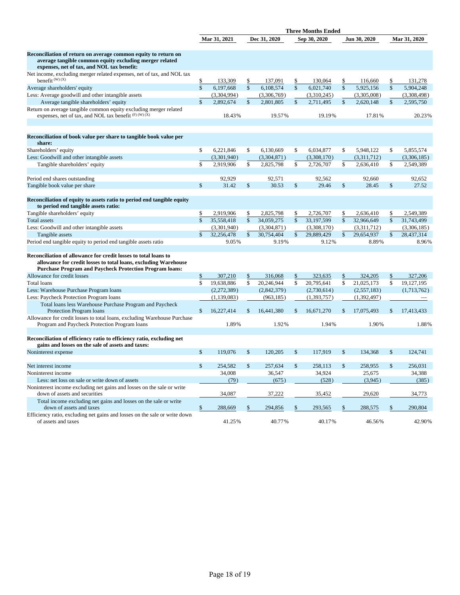|                                                                                                                                                                                                      | <b>Three Months Ended</b> |              |               |              |               |              |               |              |               |              |
|------------------------------------------------------------------------------------------------------------------------------------------------------------------------------------------------------|---------------------------|--------------|---------------|--------------|---------------|--------------|---------------|--------------|---------------|--------------|
|                                                                                                                                                                                                      |                           | Mar 31, 2021 |               | Dec 31, 2020 |               | Sep 30, 2020 |               | Jun 30, 2020 |               | Mar 31, 2020 |
| Reconciliation of return on average common equity to return on<br>average tangible common equity excluding merger related<br>expenses, net of tax, and NOL tax benefit:                              |                           |              |               |              |               |              |               |              |               |              |
| Net income, excluding merger related expenses, net of tax, and NOL tax<br>benefit $(W)$ $(X)$                                                                                                        | \$                        | 133,309      | \$            | 137,091      | \$            | 130,064      | \$            | 116,660      | \$            | 131,278      |
| Average shareholders' equity                                                                                                                                                                         | \$                        | 6,197,668    | \$            | 6,108,574    | $\mathsf{\$}$ | 6,021,740    | \$            | 5,925,156    | $\mathsf{\$}$ | 5,904,248    |
| Less: Average goodwill and other intangible assets                                                                                                                                                   |                           | (3,304,994)  |               | (3,306,769)  |               | (3,310,245)  |               | (3,305,008)  |               | (3,308,498)  |
| Average tangible shareholders' equity                                                                                                                                                                | $\mathbb{S}$              | 2,892,674    | \$            | 2,801,805    | $\mathbf{\$}$ | 2,711,495    | \$            | 2,620,148    | \$            | 2,595,750    |
| Return on average tangible common equity excluding merger related<br>expenses, net of tax, and NOL tax benefit (F) (W) (X)                                                                           |                           | 18.43%       |               | 19.57%       |               | 19.19%       |               | 17.81%       |               | 20.23%       |
| Reconciliation of book value per share to tangible book value per<br>share:                                                                                                                          |                           |              |               |              |               |              |               |              |               |              |
| Shareholders' equity                                                                                                                                                                                 | \$                        | 6,221,846    | \$            | 6,130,669    | \$            | 6,034,877    | \$            | 5,948,122    | \$            | 5,855,574    |
| Less: Goodwill and other intangible assets                                                                                                                                                           |                           | (3,301,940)  |               | (3,304,871)  |               | (3,308,170)  |               | (3,311,712)  |               | (3,306,185)  |
| Tangible shareholders' equity                                                                                                                                                                        | \$                        | 2,919,906    | \$            | 2,825,798    | \$            | 2,726,707    | \$            | 2,636,410    | \$            | 2,549,389    |
|                                                                                                                                                                                                      |                           |              |               |              |               |              |               |              |               |              |
| Period end shares outstanding                                                                                                                                                                        |                           | 92,929       |               | 92,571       |               | 92,562       |               | 92,660       |               | 92,652       |
| Tangible book value per share                                                                                                                                                                        | \$                        | 31.42        | \$            | 30.53        | \$            | 29.46        | \$            | 28.45        | \$            | 27.52        |
| Reconciliation of equity to assets ratio to period end tangible equity<br>to period end tangible assets ratio:                                                                                       |                           |              |               |              |               |              |               |              |               |              |
| Tangible shareholders' equity                                                                                                                                                                        | \$                        | 2,919,906    | \$            | 2,825,798    | \$            | 2,726,707    | \$            | 2,636,410    | \$            | 2,549,389    |
| <b>Total</b> assets                                                                                                                                                                                  | $\mathbf{s}$              | 35.558.418   | \$            | 34,059,275   | $\mathsf{\$}$ | 33,197,599   | $\mathsf{\$}$ | 32.966.649   | $\mathsf{\$}$ | 31,743,499   |
| Less: Goodwill and other intangible assets                                                                                                                                                           |                           | (3,301,940)  |               | (3,304,871)  |               | (3,308,170)  |               | (3,311,712)  |               | (3,306,185)  |
| Tangible assets                                                                                                                                                                                      | $\mathsf{\$}$             | 32,256,478   | \$            | 30,754,404   | $\mathbf{\$}$ | 29,889,429   | \$            | 29,654,937   | \$            | 28,437,314   |
| Period end tangible equity to period end tangible assets ratio                                                                                                                                       |                           | 9.05%        |               | 9.19%        |               | 9.12%        |               | 8.89%        |               | 8.96%        |
| Reconciliation of allowance for credit losses to total loans to<br>allowance for credit losses to total loans, excluding Warehouse<br><b>Purchase Program and Paycheck Protection Program loans:</b> |                           |              |               |              |               |              |               |              |               |              |
| Allowance for credit losses                                                                                                                                                                          | \$                        | 307,210      | \$            | 316,068      | \$            | 323,635      | \$            | 324,205      | \$            | 327,206      |
| <b>Total loans</b>                                                                                                                                                                                   | \$                        | 19,638,886   | \$            | 20,246,944   | \$            | 20,795,641   | \$            | 21,025,173   | \$            | 19,127,195   |
| Less: Warehouse Purchase Program loans                                                                                                                                                               |                           | (2,272,389)  |               | (2,842,379)  |               | (2,730,614)  |               | (2,557,183)  |               | (1,713,762)  |
| Less: Paycheck Protection Program loans                                                                                                                                                              |                           | (1,139,083)  |               | (963, 185)   |               | (1,393,757)  |               | (1,392,497)  |               |              |
| Total loans less Warehouse Purchase Program and Paycheck<br>Protection Program loans                                                                                                                 | \$                        | 16,227,414   | \$            | 16,441,380   | \$            | 16,671,270   | \$            | 17,075,493   | \$            | 17,413,433   |
| Allowance for credit losses to total loans, excluding Warehouse Purchase<br>Program and Paycheck Protection Program loans                                                                            |                           | 1.89%        |               | 1.92%        |               | 1.94%        |               | 1.90%        |               | 1.88%        |
| Reconciliation of efficiency ratio to efficiency ratio, excluding net<br>gains and losses on the sale of assets and taxes:                                                                           |                           |              |               |              |               |              |               |              |               |              |
| Noninterest expense                                                                                                                                                                                  | \$                        | 119,076      | $\mathbf{\$}$ | 120,205      | \$            | 117.919      | \$            | 134,368      | \$            | 124,741      |
| Net interest income                                                                                                                                                                                  | \$                        | 254,582      | \$            | 257,634      | \$            | 258,113      | \$            | 258,955      | \$            | 256,031      |
| Noninterest income                                                                                                                                                                                   |                           | 34,008       |               | 36,547       |               | 34,924       |               | 25,675       |               | 34,388       |
| Less: net loss on sale or write down of assets                                                                                                                                                       |                           | (79)         |               | (675)        |               | (528)        |               | (3,945)      |               | (385)        |
| Noninterest income excluding net gains and losses on the sale or write<br>down of assets and securities                                                                                              |                           | 34,087       |               | 37,222       |               | 35,452       |               | 29,620       |               | 34,773       |
| Total income excluding net gains and losses on the sale or write<br>down of assets and taxes                                                                                                         | \$                        | 288,669      |               | 294,856      | \$            | 293,565      | \$            | 288,575      |               | 290,804      |
| Efficiency ratio, excluding net gains and losses on the sale or write down<br>of assets and taxes                                                                                                    |                           | 41.25%       |               | 40.77%       |               | 40.17%       |               | 46.56%       |               | 42.90%       |